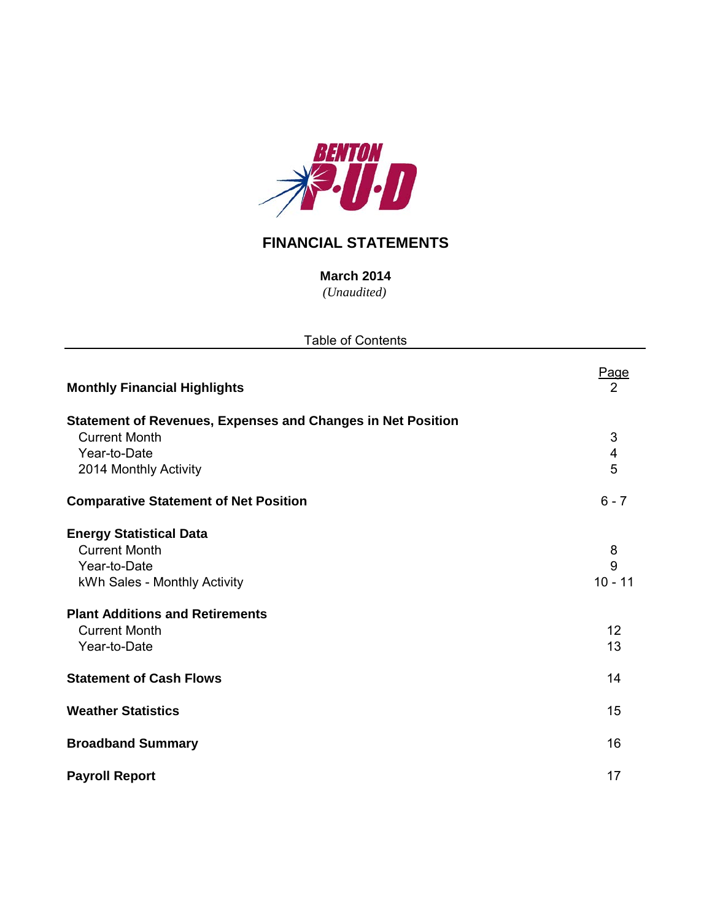

# **FINANCIAL STATEMENTS**

*(Unaudited)* **March 2014**

| <b>Table of Contents</b>                                           |                         |  |  |  |  |  |  |
|--------------------------------------------------------------------|-------------------------|--|--|--|--|--|--|
| <b>Monthly Financial Highlights</b>                                | <u>Page</u><br>2        |  |  |  |  |  |  |
| <b>Statement of Revenues, Expenses and Changes in Net Position</b> |                         |  |  |  |  |  |  |
| <b>Current Month</b>                                               | $\sqrt{3}$              |  |  |  |  |  |  |
| Year-to-Date                                                       | $\overline{\mathbf{4}}$ |  |  |  |  |  |  |
| 2014 Monthly Activity                                              | 5                       |  |  |  |  |  |  |
| <b>Comparative Statement of Net Position</b>                       | $6 - 7$                 |  |  |  |  |  |  |
| <b>Energy Statistical Data</b>                                     |                         |  |  |  |  |  |  |
| <b>Current Month</b>                                               | 8                       |  |  |  |  |  |  |
| Year-to-Date                                                       | 9                       |  |  |  |  |  |  |
| kWh Sales - Monthly Activity                                       | $10 - 11$               |  |  |  |  |  |  |
| <b>Plant Additions and Retirements</b>                             |                         |  |  |  |  |  |  |
| <b>Current Month</b>                                               | 12                      |  |  |  |  |  |  |
| Year-to-Date                                                       | 13                      |  |  |  |  |  |  |
| <b>Statement of Cash Flows</b>                                     | 14                      |  |  |  |  |  |  |
| <b>Weather Statistics</b>                                          | 15                      |  |  |  |  |  |  |
| <b>Broadband Summary</b>                                           | 16                      |  |  |  |  |  |  |
| <b>Payroll Report</b>                                              | 17                      |  |  |  |  |  |  |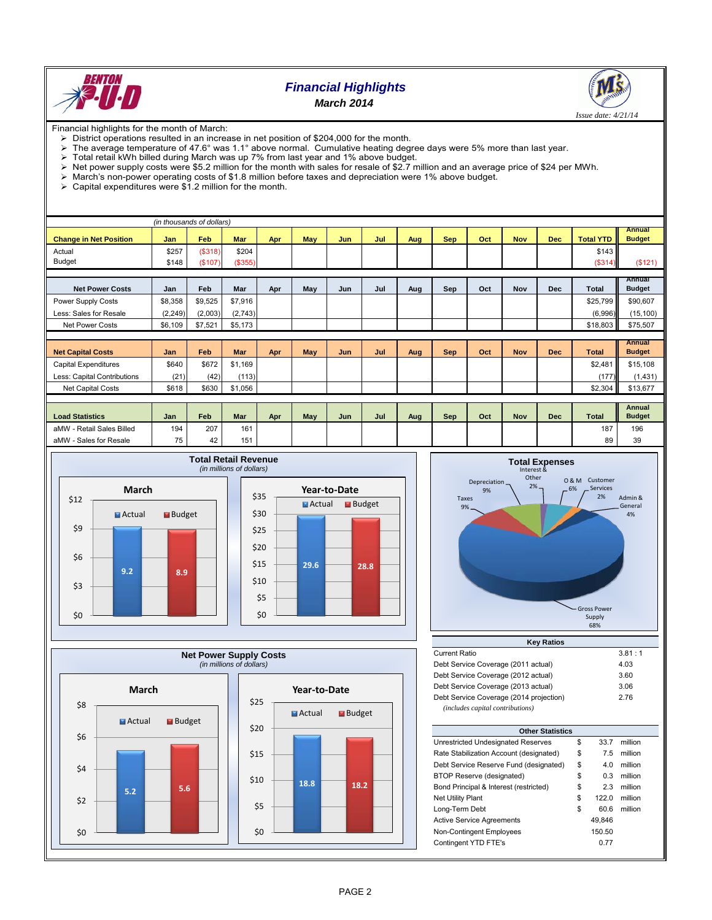

## *Financial Highlights March 2014*



Financial highlights for the month of March:

- 
- District operations resulted in an increase in net position of \$204,000 for the month.<br>
> The average temperature of 47.6° was 1.1° above normal. Cumulative heating deg The average temperature of 47.6° was 1.1° above normal. Cumulative heating degree days were 5% more than last year.<br>
> Total retail kWh billed during March was up 7% from last year and 1% above budget
- 
- $\triangleright$  Total retail kWh billed during March was up 7% from last year and 1% above budget.<br>  $\triangleright$  Net power supply costs were \$5.2 million for the month with sales for resale of \$2.7 n Net power supply costs were \$5.2 million for the month with sales for resale of \$2.7 million and an average price of \$24 per MWh.<br>> March's non-power operating costs of \$1.8 million before taxes and depreciation were 1% a
- $\triangleright$  March's non-power operating costs of \$1.8 million before taxes and depreciation were 1% above budget.<br>  $\triangleright$  Capital expenditures were \$1.2 million for the month.
- Capital expenditures were \$1.2 million for the month.

| (in thousands of dollars)     |            |         |            |     |            |     |     |     |            |     |            |            |                  |                                |
|-------------------------------|------------|---------|------------|-----|------------|-----|-----|-----|------------|-----|------------|------------|------------------|--------------------------------|
| <b>Change in Net Position</b> | <b>Jan</b> | Feb     | <b>Mar</b> | Apr | <b>May</b> | Jun | Jul | Aug | <b>Sep</b> | Oct | <b>Nov</b> | <b>Dec</b> | <b>Total YTD</b> | <b>Annual</b><br><b>Budget</b> |
| Actual                        | \$257      | (\$318) | \$204      |     |            |     |     |     |            |     |            |            | \$143            |                                |
| <b>Budget</b>                 | \$148      | (\$107) | (\$355)    |     |            |     |     |     |            |     |            |            | (\$314)          | (\$121)                        |
|                               |            |         |            |     |            |     |     |     |            |     |            |            |                  |                                |
| <b>Net Power Costs</b>        | Jan        | Feb     | Mar        | Apr | May        | Jun | Jul | Aug | Sep        | Oct | Nov        | <b>Dec</b> | Total            | Annual<br><b>Budget</b>        |
| Power Supply Costs            | \$8,358    | \$9,525 | \$7,916    |     |            |     |     |     |            |     |            |            | \$25,799         | \$90,607                       |
| Less: Sales for Resale        | (2, 249)   | (2,003) | (2,743)    |     |            |     |     |     |            |     |            |            | (6,996)          | (15, 100)                      |
| <b>Net Power Costs</b>        | \$6,109    | \$7,521 | \$5,173    |     |            |     |     |     |            |     |            |            | \$18,803         | \$75,507                       |
|                               |            |         |            |     |            |     |     |     |            |     |            |            |                  |                                |
| <b>Net Capital Costs</b>      | Jan        | Feb     | <b>Mar</b> | Apr | May        | Jun | Jul | Aug | <b>Sep</b> | Oct | <b>Nov</b> | <b>Dec</b> | <b>Total</b>     | <b>Annual</b><br><b>Budget</b> |
| <b>Capital Expenditures</b>   | \$640      | \$672   | \$1,169    |     |            |     |     |     |            |     |            |            | \$2,481          | \$15,108                       |
| Less: Capital Contributions   | (21)       | (42)    | (113)      |     |            |     |     |     |            |     |            |            | (177)            | (1,431)                        |
| <b>Net Capital Costs</b>      | \$618      | \$630   | \$1,056    |     |            |     |     |     |            |     |            |            | \$2,304          | \$13,677                       |
|                               |            |         |            |     |            |     |     |     |            |     |            |            |                  |                                |
| <b>Load Statistics</b>        | Jan        | Feb     | <b>Mar</b> | Apr | May        | Jun | Jul | Aug | Sep        | Oct | <b>Nov</b> | <b>Dec</b> | <b>Total</b>     | Annual<br><b>Budget</b>        |
| aMW - Retail Sales Billed     | 194        | 207     | 161        |     |            |     |     |     |            |     |            |            | 187              | 196                            |
| aMW - Sales for Resale        | 75         | 42      | 151        |     |            |     |     |     |            |     |            |            | 89               | 39                             |

**Budget** 







| <b>Current Ratio</b>                    | 3.81:1 |
|-----------------------------------------|--------|
| Debt Service Coverage (2011 actual)     | 4.03   |
| Debt Service Coverage (2012 actual)     | 3.60   |
| Debt Service Coverage (2013 actual)     | 3.06   |
| Debt Service Coverage (2014 projection) | 2.76   |
| (includes capital contributions)        |        |

| <b>Other Statistics</b>                 |    |        |         |  |  |  |  |  |  |  |  |
|-----------------------------------------|----|--------|---------|--|--|--|--|--|--|--|--|
| Unrestricted Undesignated Reserves      | \$ | 33.7   | million |  |  |  |  |  |  |  |  |
| Rate Stabilization Account (designated) | \$ | 7.5    | million |  |  |  |  |  |  |  |  |
| Debt Service Reserve Fund (designated)  | \$ | 4.0    | million |  |  |  |  |  |  |  |  |
| BTOP Reserve (designated)               | \$ | 0.3    | million |  |  |  |  |  |  |  |  |
| Bond Principal & Interest (restricted)  | \$ | 2.3    | million |  |  |  |  |  |  |  |  |
| <b>Net Utility Plant</b>                | \$ | 122.0  | million |  |  |  |  |  |  |  |  |
| Long-Term Debt                          | \$ | 60.6   | million |  |  |  |  |  |  |  |  |
| <b>Active Service Agreements</b>        |    | 49.846 |         |  |  |  |  |  |  |  |  |
| Non-Contingent Employees                |    | 150.50 |         |  |  |  |  |  |  |  |  |
| Contingent YTD FTE's                    |    | 0.77   |         |  |  |  |  |  |  |  |  |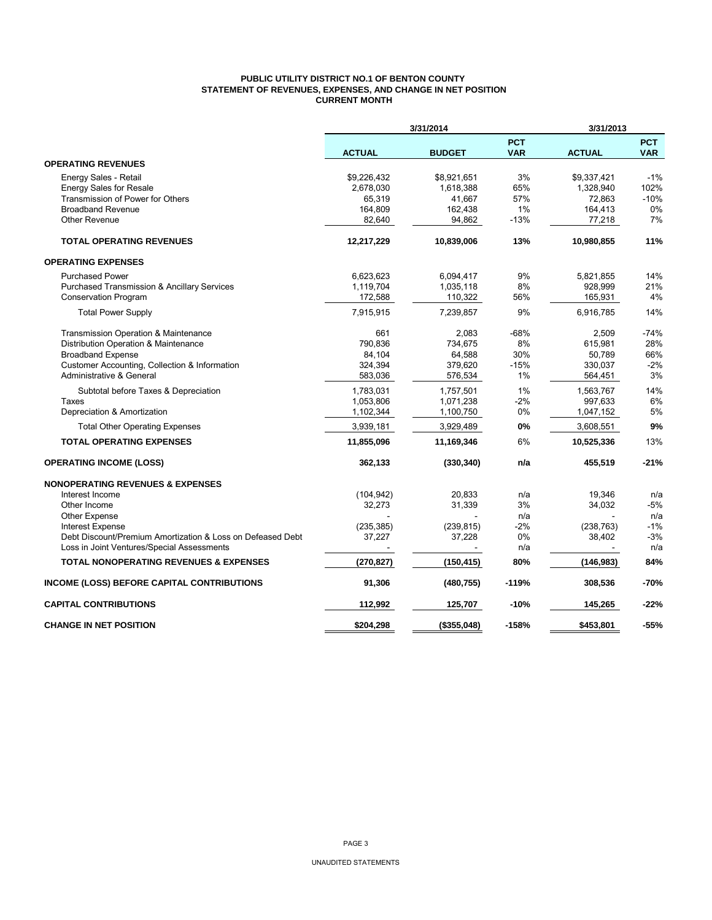## **PUBLIC UTILITY DISTRICT NO.1 OF BENTON COUNTY STATEMENT OF REVENUES, EXPENSES, AND CHANGE IN NET POSITION CURRENT MONTH**

|                                                            |                          | 3/31/2014<br>3/31/2013 |                          |               |                          |
|------------------------------------------------------------|--------------------------|------------------------|--------------------------|---------------|--------------------------|
|                                                            | <b>ACTUAL</b>            | <b>BUDGET</b>          | <b>PCT</b><br><b>VAR</b> | <b>ACTUAL</b> | <b>PCT</b><br><b>VAR</b> |
| <b>OPERATING REVENUES</b>                                  |                          |                        |                          |               |                          |
| Energy Sales - Retail                                      | \$9,226,432              | \$8,921,651            | 3%                       | \$9,337,421   | $-1%$                    |
| <b>Energy Sales for Resale</b>                             | 2,678,030                | 1,618,388              | 65%                      | 1,328,940     | 102%                     |
| Transmission of Power for Others                           | 65,319                   | 41,667                 | 57%                      | 72,863        | $-10%$                   |
| <b>Broadband Revenue</b>                                   | 164,809                  | 162,438                | 1%                       | 164,413       | 0%                       |
| <b>Other Revenue</b>                                       | 82,640                   | 94,862                 | $-13%$                   | 77,218        | 7%                       |
| <b>TOTAL OPERATING REVENUES</b>                            | 12,217,229               | 10,839,006             | 13%                      | 10,980,855    | 11%                      |
| <b>OPERATING EXPENSES</b>                                  |                          |                        |                          |               |                          |
| <b>Purchased Power</b>                                     | 6,623,623                | 6,094,417              | 9%                       | 5,821,855     | 14%                      |
| <b>Purchased Transmission &amp; Ancillary Services</b>     | 1,119,704                | 1,035,118              | 8%                       | 928,999       | 21%                      |
| <b>Conservation Program</b>                                | 172,588                  | 110,322                | 56%                      | 165,931       | 4%                       |
| <b>Total Power Supply</b>                                  | 7,915,915                | 7,239,857              | 9%                       | 6,916,785     | 14%                      |
| Transmission Operation & Maintenance                       | 661                      | 2,083                  | $-68%$                   | 2,509         | $-74%$                   |
| Distribution Operation & Maintenance                       | 790.836                  | 734,675                | 8%                       | 615,981       | 28%                      |
| <b>Broadband Expense</b>                                   | 84,104                   | 64,588                 | 30%                      | 50,789        | 66%                      |
| Customer Accounting, Collection & Information              | 324,394                  | 379,620                | $-15%$                   | 330,037       | $-2%$                    |
| Administrative & General                                   | 583,036                  | 576,534                | 1%                       | 564,451       | 3%                       |
| Subtotal before Taxes & Depreciation                       | 1,783,031                | 1,757,501              | 1%                       | 1,563,767     | 14%                      |
| Taxes                                                      | 1,053,806                | 1,071,238              | $-2%$                    | 997,633       | 6%                       |
| Depreciation & Amortization                                | 1,102,344                | 1,100,750              | 0%                       | 1,047,152     | 5%                       |
| <b>Total Other Operating Expenses</b>                      | 3,939,181                | 3,929,489              | 0%                       | 3,608,551     | 9%                       |
| <b>TOTAL OPERATING EXPENSES</b>                            | 11,855,096               | 11,169,346             | 6%                       | 10,525,336    | 13%                      |
| <b>OPERATING INCOME (LOSS)</b>                             | 362,133                  | (330, 340)             | n/a                      | 455,519       | $-21%$                   |
| <b>NONOPERATING REVENUES &amp; EXPENSES</b>                |                          |                        |                          |               |                          |
| Interest Income                                            | (104, 942)               | 20,833                 | n/a                      | 19,346        | n/a                      |
| Other Income                                               | 32,273                   | 31,339                 | 3%                       | 34,032        | $-5%$                    |
| Other Expense                                              |                          |                        | n/a                      |               | n/a                      |
| Interest Expense                                           | (235, 385)               | (239, 815)             | $-2%$                    | (238, 763)    | $-1%$                    |
| Debt Discount/Premium Amortization & Loss on Defeased Debt | 37,227                   | 37,228                 | 0%                       | 38,402        | $-3%$                    |
| Loss in Joint Ventures/Special Assessments                 | $\overline{\phantom{a}}$ |                        | n/a                      | $\sim$        | n/a                      |
| <b>TOTAL NONOPERATING REVENUES &amp; EXPENSES</b>          | (270, 827)               | (150, 415)             | 80%                      | (146, 983)    | 84%                      |
| <b>INCOME (LOSS) BEFORE CAPITAL CONTRIBUTIONS</b>          | 91,306                   | (480, 755)             | $-119%$                  | 308,536       | -70%                     |
| <b>CAPITAL CONTRIBUTIONS</b>                               | 112,992                  | 125,707                | $-10%$                   | 145,265       | $-22%$                   |
| <b>CHANGE IN NET POSITION</b>                              | \$204,298                | (\$355,048)            | $-158%$                  | \$453,801     | $-55%$                   |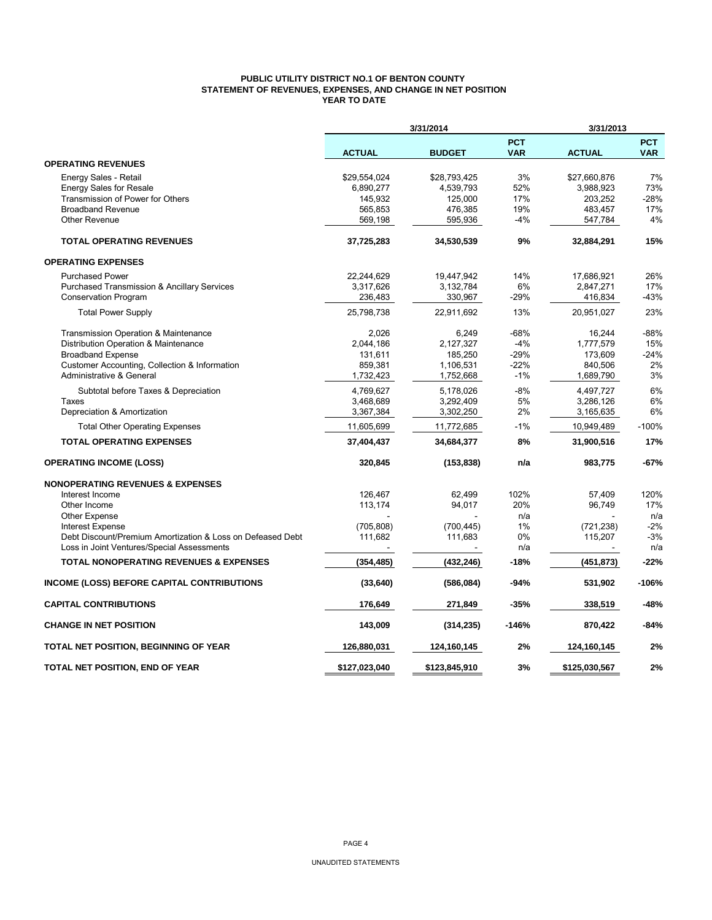## **PUBLIC UTILITY DISTRICT NO.1 OF BENTON COUNTY STATEMENT OF REVENUES, EXPENSES, AND CHANGE IN NET POSITION YEAR TO DATE**

|                                                            |               | 3/31/2014     |                          | 3/31/2013     |                          |  |
|------------------------------------------------------------|---------------|---------------|--------------------------|---------------|--------------------------|--|
|                                                            | <b>ACTUAL</b> | <b>BUDGET</b> | <b>PCT</b><br><b>VAR</b> | <b>ACTUAL</b> | <b>PCT</b><br><b>VAR</b> |  |
| <b>OPERATING REVENUES</b>                                  |               |               |                          |               |                          |  |
| Energy Sales - Retail                                      | \$29,554,024  | \$28,793,425  | 3%                       | \$27,660,876  | 7%                       |  |
| <b>Energy Sales for Resale</b>                             | 6,890,277     | 4,539,793     | 52%                      | 3,988,923     | 73%                      |  |
| Transmission of Power for Others                           | 145,932       | 125,000       | 17%                      | 203,252       | $-28%$                   |  |
| <b>Broadband Revenue</b>                                   | 565,853       | 476,385       | 19%                      | 483,457       | 17%                      |  |
| <b>Other Revenue</b>                                       | 569,198       | 595,936       | $-4%$                    | 547,784       | 4%                       |  |
| <b>TOTAL OPERATING REVENUES</b>                            | 37,725,283    | 34,530,539    | 9%                       | 32,884,291    | 15%                      |  |
| <b>OPERATING EXPENSES</b>                                  |               |               |                          |               |                          |  |
| <b>Purchased Power</b>                                     | 22,244,629    | 19,447,942    | 14%                      | 17,686,921    | 26%                      |  |
| Purchased Transmission & Ancillary Services                | 3,317,626     | 3,132,784     | 6%                       | 2,847,271     | 17%                      |  |
| <b>Conservation Program</b>                                | 236,483       | 330,967       | $-29%$                   | 416,834       | -43%                     |  |
| <b>Total Power Supply</b>                                  | 25,798,738    | 22,911,692    | 13%                      | 20,951,027    | 23%                      |  |
| Transmission Operation & Maintenance                       | 2,026         | 6,249         | -68%                     | 16,244        | -88%                     |  |
| Distribution Operation & Maintenance                       | 2,044,186     | 2,127,327     | $-4%$                    | 1,777,579     | 15%                      |  |
| <b>Broadband Expense</b>                                   | 131,611       | 185,250       | $-29%$                   | 173,609       | $-24%$                   |  |
| Customer Accounting, Collection & Information              | 859,381       | 1,106,531     | $-22%$                   | 840,506       | 2%                       |  |
| Administrative & General                                   | 1,732,423     | 1,752,668     | $-1%$                    | 1,689,790     | 3%                       |  |
| Subtotal before Taxes & Depreciation                       | 4,769,627     | 5,178,026     | $-8%$                    | 4,497,727     | 6%                       |  |
| Taxes                                                      | 3,468,689     | 3,292,409     | 5%                       | 3,286,126     | 6%                       |  |
| Depreciation & Amortization                                | 3,367,384     | 3,302,250     | 2%                       | 3,165,635     | 6%                       |  |
| <b>Total Other Operating Expenses</b>                      | 11,605,699    | 11,772,685    | $-1%$                    | 10,949,489    | $-100%$                  |  |
| <b>TOTAL OPERATING EXPENSES</b>                            | 37,404,437    | 34,684,377    | 8%                       | 31,900,516    | 17%                      |  |
| <b>OPERATING INCOME (LOSS)</b>                             | 320,845       | (153, 838)    | n/a                      | 983,775       | -67%                     |  |
| <b>NONOPERATING REVENUES &amp; EXPENSES</b>                |               |               |                          |               |                          |  |
| Interest Income                                            | 126,467       | 62,499        | 102%                     | 57,409        | 120%                     |  |
| Other Income                                               | 113,174       | 94,017        | 20%                      | 96,749        | 17%                      |  |
| <b>Other Expense</b>                                       |               |               | n/a                      |               | n/a                      |  |
| <b>Interest Expense</b>                                    | (705, 808)    | (700, 445)    | 1%                       | (721, 238)    | $-2%$                    |  |
| Debt Discount/Premium Amortization & Loss on Defeased Debt | 111,682       | 111,683       | 0%                       | 115,207       | $-3%$                    |  |
| Loss in Joint Ventures/Special Assessments                 |               |               | n/a                      |               | n/a                      |  |
| <b>TOTAL NONOPERATING REVENUES &amp; EXPENSES</b>          | (354, 485)    | (432, 246)    | -18%                     | (451,873)     | -22%                     |  |
| INCOME (LOSS) BEFORE CAPITAL CONTRIBUTIONS                 | (33, 640)     | (586,084)     | -94%                     | 531,902       | $-106%$                  |  |
| <b>CAPITAL CONTRIBUTIONS</b>                               | 176,649       | 271,849       | $-35%$                   | 338,519       | -48%                     |  |
| <b>CHANGE IN NET POSITION</b>                              | 143,009       | (314, 235)    | $-146%$                  | 870,422       | -84%                     |  |
| TOTAL NET POSITION, BEGINNING OF YEAR                      | 126,880,031   | 124,160,145   | 2%                       | 124,160,145   | 2%                       |  |
| TOTAL NET POSITION, END OF YEAR                            | \$127,023,040 | \$123,845,910 | 3%                       | \$125,030,567 | 2%                       |  |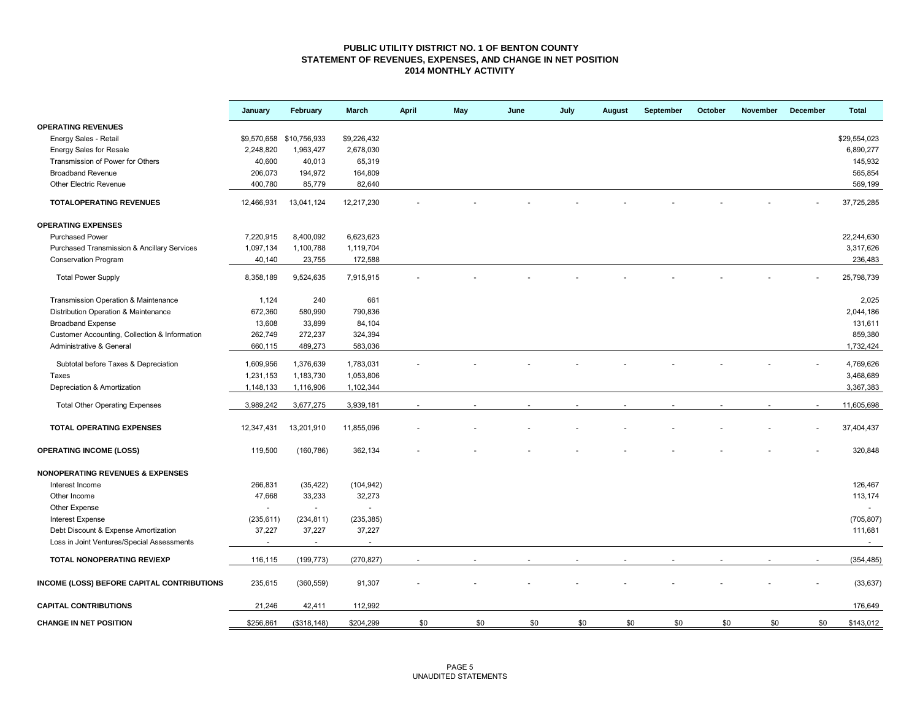### **PUBLIC UTILITY DISTRICT NO. 1 OF BENTON COUNTY STATEMENT OF REVENUES, EXPENSES, AND CHANGE IN NET POSITION 2014 MONTHLY ACTIVITY**

|                                                        | January                | February                 | March                    | <b>April</b> | May | June | July | August | September | October | November | December | <b>Total</b>           |
|--------------------------------------------------------|------------------------|--------------------------|--------------------------|--------------|-----|------|------|--------|-----------|---------|----------|----------|------------------------|
| <b>OPERATING REVENUES</b>                              |                        |                          |                          |              |     |      |      |        |           |         |          |          |                        |
| Energy Sales - Retail                                  |                        | \$9,570,658 \$10,756,933 | \$9,226,432              |              |     |      |      |        |           |         |          |          | \$29,554,023           |
| <b>Energy Sales for Resale</b>                         | 2,248,820              | 1,963,427                | 2,678,030                |              |     |      |      |        |           |         |          |          | 6,890,277              |
| Transmission of Power for Others                       | 40,600                 | 40,013                   | 65,319                   |              |     |      |      |        |           |         |          |          | 145,932                |
| <b>Broadband Revenue</b>                               | 206,073                | 194,972                  | 164,809                  |              |     |      |      |        |           |         |          |          | 565,854                |
| <b>Other Electric Revenue</b>                          | 400,780                | 85,779                   | 82,640                   |              |     |      |      |        |           |         |          |          | 569,199                |
| <b>TOTALOPERATING REVENUES</b>                         | 12,466,931             | 13,041,124               | 12,217,230               |              |     |      |      |        |           |         |          |          | 37,725,285             |
| <b>OPERATING EXPENSES</b>                              |                        |                          |                          |              |     |      |      |        |           |         |          |          |                        |
| <b>Purchased Power</b>                                 | 7,220,915              | 8,400,092                | 6,623,623                |              |     |      |      |        |           |         |          |          | 22,244,630             |
| <b>Purchased Transmission &amp; Ancillary Services</b> | 1,097,134              | 1,100,788                | 1,119,704                |              |     |      |      |        |           |         |          |          | 3,317,626              |
| Conservation Program                                   | 40,140                 | 23,755                   | 172,588                  |              |     |      |      |        |           |         |          |          | 236,483                |
| <b>Total Power Supply</b>                              | 8,358,189              | 9,524,635                | 7,915,915                |              |     |      |      |        |           |         |          |          | 25,798,739             |
| Transmission Operation & Maintenance                   | 1,124                  | 240                      | 661                      |              |     |      |      |        |           |         |          |          | 2,025                  |
| Distribution Operation & Maintenance                   | 672,360                | 580,990                  | 790,836                  |              |     |      |      |        |           |         |          |          | 2,044,186              |
| <b>Broadband Expense</b>                               | 13,608                 | 33,899                   | 84,104                   |              |     |      |      |        |           |         |          |          | 131,611                |
| Customer Accounting, Collection & Information          | 262,749                | 272,237                  | 324,394                  |              |     |      |      |        |           |         |          |          | 859,380                |
| Administrative & General                               | 660,115                | 489,273                  | 583,036                  |              |     |      |      |        |           |         |          |          | 1,732,424              |
|                                                        |                        |                          |                          |              |     |      |      |        |           |         |          |          |                        |
| Subtotal before Taxes & Depreciation<br>Taxes          | 1,609,956<br>1,231,153 | 1,376,639<br>1,183,730   | 1,783,031<br>1,053,806   |              |     |      |      |        |           |         |          |          | 4,769,626<br>3,468,689 |
|                                                        |                        |                          |                          |              |     |      |      |        |           |         |          |          |                        |
| Depreciation & Amortization                            | 1,148,133              | 1,116,906                | 1,102,344                |              |     |      |      |        |           |         |          |          | 3,367,383              |
| <b>Total Other Operating Expenses</b>                  | 3,989,242              | 3,677,275                | 3,939,181                |              |     |      |      |        |           |         |          |          | 11,605,698             |
| <b>TOTAL OPERATING EXPENSES</b>                        | 12,347,431             | 13,201,910               | 11,855,096               |              |     |      |      |        |           |         |          |          | 37,404,437             |
| <b>OPERATING INCOME (LOSS)</b>                         | 119,500                | (160, 786)               | 362,134                  |              |     |      |      |        |           |         |          |          | 320,848                |
| <b>NONOPERATING REVENUES &amp; EXPENSES</b>            |                        |                          |                          |              |     |      |      |        |           |         |          |          |                        |
| Interest Income                                        | 266,831                | (35, 422)                | (104, 942)               |              |     |      |      |        |           |         |          |          | 126,467                |
| Other Income                                           | 47,668                 | 33,233                   | 32,273                   |              |     |      |      |        |           |         |          |          | 113,174                |
| Other Expense                                          | $\sim$                 | $\overline{\phantom{a}}$ | $\overline{\phantom{a}}$ |              |     |      |      |        |           |         |          |          | $\sim$                 |
| <b>Interest Expense</b>                                | (235, 611)             | (234, 811)               | (235, 385)               |              |     |      |      |        |           |         |          |          | (705, 807)             |
| Debt Discount & Expense Amortization                   | 37,227                 | 37,227                   | 37,227                   |              |     |      |      |        |           |         |          |          | 111,681                |
| Loss in Joint Ventures/Special Assessments             | $\sim$                 | $\sim$                   | $\blacksquare$           |              |     |      |      |        |           |         |          |          | $\sim$                 |
| <b>TOTAL NONOPERATING REV/EXP</b>                      | 116,115                | (199, 773)               | (270, 827)               |              |     |      |      |        |           |         |          |          | (354, 485)             |
| INCOME (LOSS) BEFORE CAPITAL CONTRIBUTIONS             | 235,615                | (360, 559)               | 91,307                   |              |     |      |      |        |           |         |          |          | (33, 637)              |
| <b>CAPITAL CONTRIBUTIONS</b>                           | 21,246                 | 42,411                   | 112,992                  |              |     |      |      |        |           |         |          |          | 176,649                |
| <b>CHANGE IN NET POSITION</b>                          | \$256,861              | (\$318, 148)             | \$204,299                | \$0          | \$0 | \$0  | \$0  | \$0    | \$0       | \$0     | \$0      | \$0      | \$143,012              |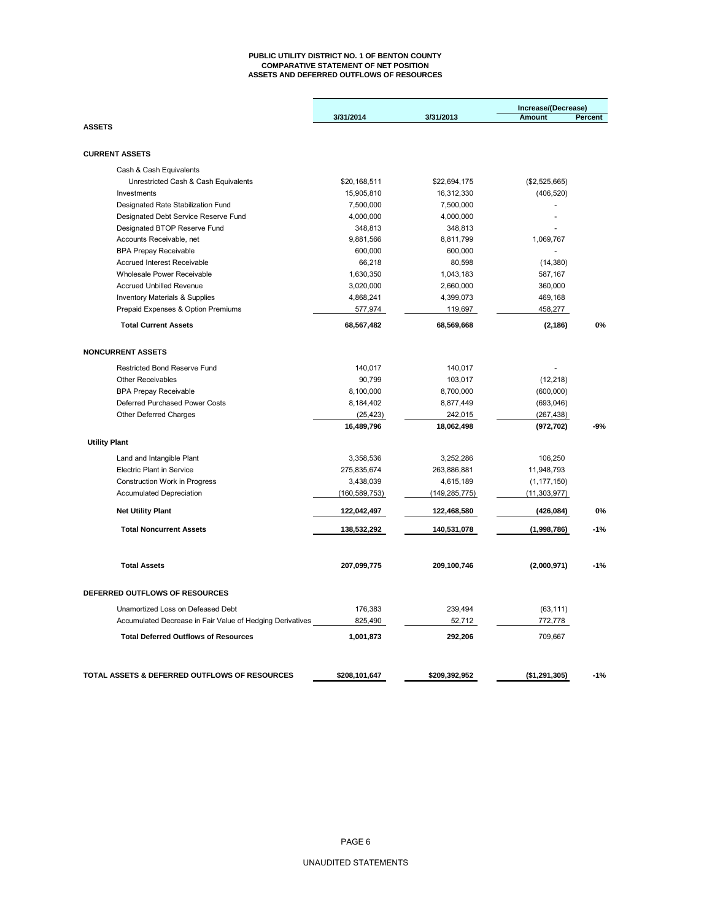#### **PUBLIC UTILITY DISTRICT NO. 1 OF BENTON COUNTY COMPARATIVE STATEMENT OF NET POSITION ASSETS AND DEFERRED OUTFLOWS OF RESOURCES**

|                                                           |                 |                 | Increase/(Decrease) |         |  |
|-----------------------------------------------------------|-----------------|-----------------|---------------------|---------|--|
|                                                           | 3/31/2014       | 3/31/2013       | Amount              | Percent |  |
| <b>ASSETS</b>                                             |                 |                 |                     |         |  |
| <b>CURRENT ASSETS</b>                                     |                 |                 |                     |         |  |
| Cash & Cash Equivalents                                   |                 |                 |                     |         |  |
| Unrestricted Cash & Cash Equivalents                      | \$20,168,511    | \$22,694,175    | (\$2,525,665)       |         |  |
| Investments                                               | 15,905,810      | 16,312,330      | (406, 520)          |         |  |
| Designated Rate Stabilization Fund                        | 7,500,000       | 7,500,000       |                     |         |  |
| Designated Debt Service Reserve Fund                      | 4,000,000       | 4,000,000       | $\blacksquare$      |         |  |
| Designated BTOP Reserve Fund                              | 348,813         | 348,813         |                     |         |  |
| Accounts Receivable, net                                  | 9,881,566       | 8,811,799       | 1,069,767           |         |  |
| <b>BPA Prepay Receivable</b>                              | 600,000         | 600,000         |                     |         |  |
| <b>Accrued Interest Receivable</b>                        | 66,218          | 80,598          | (14, 380)           |         |  |
| <b>Wholesale Power Receivable</b>                         | 1,630,350       | 1,043,183       | 587,167             |         |  |
| <b>Accrued Unbilled Revenue</b>                           | 3,020,000       | 2,660,000       | 360,000             |         |  |
| <b>Inventory Materials &amp; Supplies</b>                 | 4,868,241       | 4,399,073       | 469,168             |         |  |
| Prepaid Expenses & Option Premiums                        | 577,974         | 119,697         | 458,277             |         |  |
| <b>Total Current Assets</b>                               | 68,567,482      | 68,569,668      | (2, 186)            | 0%      |  |
| <b>NONCURRENT ASSETS</b>                                  |                 |                 |                     |         |  |
| Restricted Bond Reserve Fund                              |                 |                 |                     |         |  |
| <b>Other Receivables</b>                                  | 140,017         | 140,017         |                     |         |  |
|                                                           | 90,799          | 103,017         | (12, 218)           |         |  |
| <b>BPA Prepay Receivable</b>                              | 8,100,000       | 8,700,000       | (600,000)           |         |  |
| Deferred Purchased Power Costs                            | 8,184,402       | 8,877,449       | (693,046)           |         |  |
| Other Deferred Charges                                    | (25, 423)       | 242,015         | (267, 438)          | -9%     |  |
|                                                           | 16,489,796      | 18,062,498      | (972, 702)          |         |  |
| <b>Utility Plant</b>                                      |                 |                 |                     |         |  |
| Land and Intangible Plant                                 | 3,358,536       | 3,252,286       | 106,250             |         |  |
| <b>Electric Plant in Service</b>                          | 275,835,674     | 263,886,881     | 11,948,793          |         |  |
| <b>Construction Work in Progress</b>                      | 3,438,039       | 4,615,189       | (1, 177, 150)       |         |  |
| <b>Accumulated Depreciation</b>                           | (160, 589, 753) | (149, 285, 775) | (11, 303, 977)      |         |  |
| <b>Net Utility Plant</b>                                  | 122,042,497     | 122,468,580     | (426, 084)          | 0%      |  |
| <b>Total Noncurrent Assets</b>                            | 138,532,292     | 140,531,078     | (1,998,786)         | $-1%$   |  |
|                                                           |                 |                 |                     |         |  |
| <b>Total Assets</b>                                       | 207,099,775     | 209,100,746     | (2,000,971)         | $-1%$   |  |
| DEFERRED OUTFLOWS OF RESOURCES                            |                 |                 |                     |         |  |
| Unamortized Loss on Defeased Debt                         | 176,383         | 239,494         | (63, 111)           |         |  |
| Accumulated Decrease in Fair Value of Hedging Derivatives | 825,490         | 52,712          | 772,778             |         |  |
| <b>Total Deferred Outflows of Resources</b>               | 1,001,873       | 292,206         | 709,667             |         |  |
|                                                           |                 |                 |                     |         |  |
| TOTAL ASSETS & DEFERRED OUTFLOWS OF RESOURCES             | \$208,101,647   | \$209,392,952   | (\$1,291,305)       | $-1%$   |  |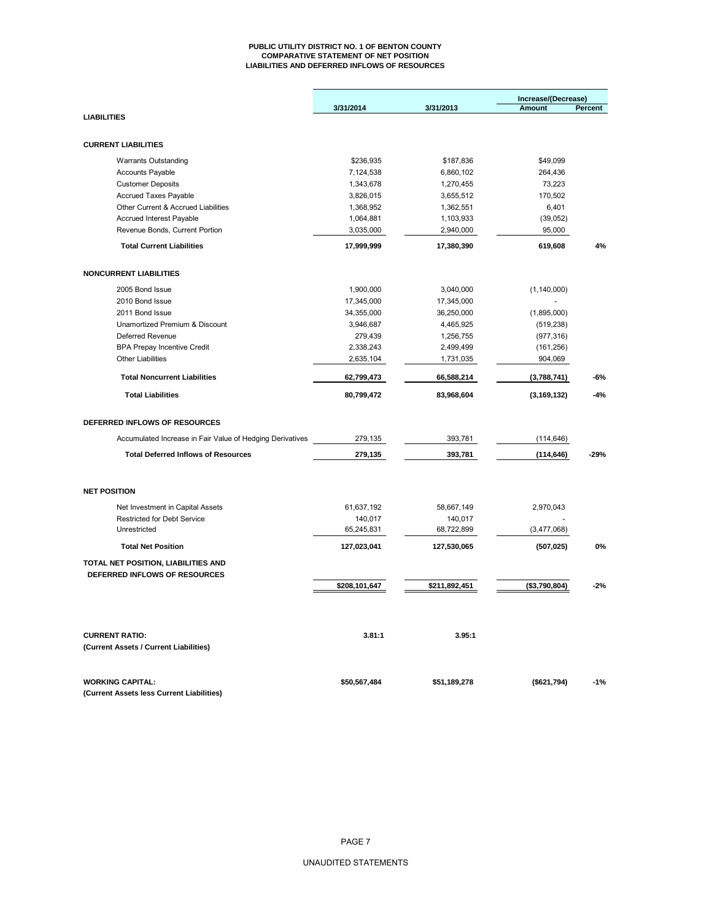#### **PUBLIC UTILITY DISTRICT NO. 1 OF BENTON COUNTY COMPARATIVE STATEMENT OF NET POSITION LIABILITIES AND DEFERRED INFLOWS OF RESOURCES**

|                                                           | 3/31/2014     | 3/31/2013     | Increase/(Decrease)<br><b>Amount</b> | Percent |  |
|-----------------------------------------------------------|---------------|---------------|--------------------------------------|---------|--|
| <b>LIABILITIES</b>                                        |               |               |                                      |         |  |
|                                                           |               |               |                                      |         |  |
| <b>CURRENT LIABILITIES</b>                                |               |               |                                      |         |  |
| <b>Warrants Outstanding</b>                               | \$236,935     | \$187,836     | \$49,099                             |         |  |
| <b>Accounts Payable</b>                                   | 7,124,538     | 6,860,102     | 264,436                              |         |  |
| <b>Customer Deposits</b>                                  | 1,343,678     | 1,270,455     | 73,223                               |         |  |
| Accrued Taxes Payable                                     | 3,826,015     | 3,655,512     | 170,502                              |         |  |
| Other Current & Accrued Liabilities                       | 1,368,952     | 1,362,551     | 6,401                                |         |  |
| Accrued Interest Payable                                  | 1,064,881     | 1,103,933     | (39,052)                             |         |  |
| Revenue Bonds, Current Portion                            | 3,035,000     | 2,940,000     | 95,000                               |         |  |
| <b>Total Current Liabilities</b>                          | 17,999,999    | 17,380,390    | 619,608                              | 4%      |  |
| <b>NONCURRENT LIABILITIES</b>                             |               |               |                                      |         |  |
|                                                           |               |               |                                      |         |  |
| 2005 Bond Issue                                           | 1,900,000     | 3,040,000     | (1, 140, 000)                        |         |  |
| 2010 Bond Issue                                           | 17,345,000    | 17,345,000    |                                      |         |  |
| 2011 Bond Issue                                           | 34,355,000    | 36,250,000    | (1,895,000)                          |         |  |
| Unamortized Premium & Discount                            | 3,946,687     | 4,465,925     | (519, 238)                           |         |  |
| Deferred Revenue                                          | 279,439       | 1,256,755     | (977, 316)                           |         |  |
| <b>BPA Prepay Incentive Credit</b>                        | 2,338,243     | 2,499,499     | (161, 256)                           |         |  |
| <b>Other Liabilities</b>                                  | 2,635,104     | 1,731,035     | 904,069                              |         |  |
| <b>Total Noncurrent Liabilities</b>                       | 62,799,473    | 66,588,214    | (3,788,741)                          | -6%     |  |
| <b>Total Liabilities</b>                                  | 80,799,472    | 83,968,604    | (3, 169, 132)                        | $-4%$   |  |
| DEFERRED INFLOWS OF RESOURCES                             |               |               |                                      |         |  |
| Accumulated Increase in Fair Value of Hedging Derivatives | 279,135       | 393,781       | (114, 646)                           |         |  |
| <b>Total Deferred Inflows of Resources</b>                | 279,135       | 393,781       | (114, 646)                           | $-29%$  |  |
|                                                           |               |               |                                      |         |  |
| <b>NET POSITION</b>                                       |               |               |                                      |         |  |
| Net Investment in Capital Assets                          | 61,637,192    | 58,667,149    | 2,970,043                            |         |  |
| <b>Restricted for Debt Service</b>                        | 140,017       | 140,017       |                                      |         |  |
| Unrestricted                                              | 65,245,831    | 68,722,899    | (3,477,068)                          |         |  |
| <b>Total Net Position</b>                                 | 127,023,041   | 127,530,065   | (507, 025)                           | 0%      |  |
| TOTAL NET POSITION, LIABILITIES AND                       |               |               |                                      |         |  |
| DEFERRED INFLOWS OF RESOURCES                             |               |               |                                      |         |  |
|                                                           | \$208,101,647 | \$211,892,451 | (\$3,790,804)                        | $-2%$   |  |
|                                                           |               |               |                                      |         |  |
| <b>CURRENT RATIO:</b>                                     | 3.81:1        | 3.95:1        |                                      |         |  |
| (Current Assets / Current Liabilities)                    |               |               |                                      |         |  |
| <b>WORKING CAPITAL:</b>                                   | \$50,567,484  | \$51,189,278  | (\$621,794)                          | $-1%$   |  |
| (Current Assets less Current Liabilities)                 |               |               |                                      |         |  |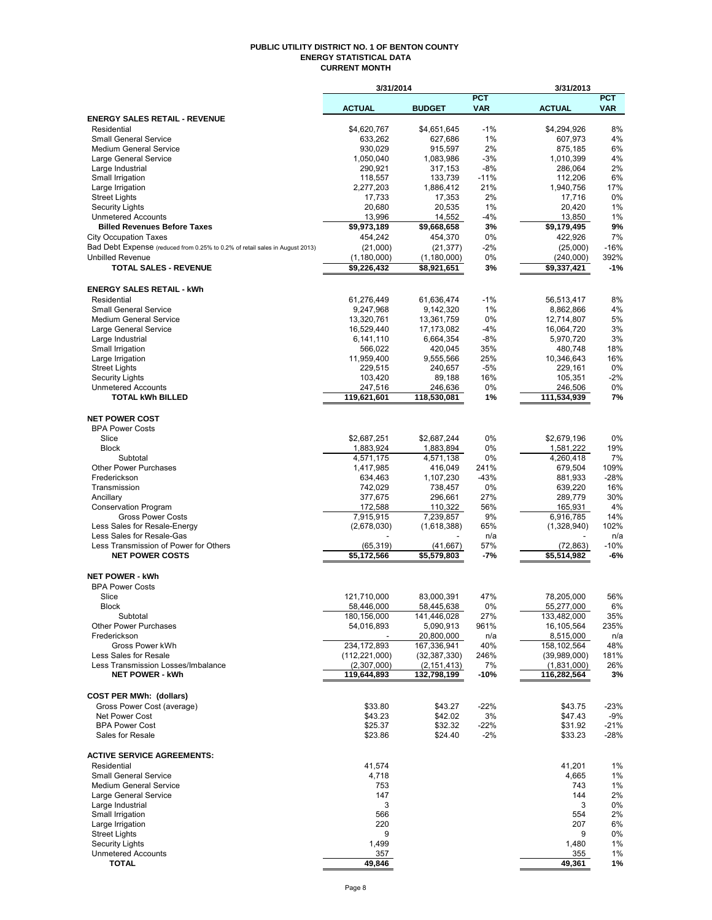#### **PUBLIC UTILITY DISTRICT NO. 1 OF BENTON COUNTY ENERGY STATISTICAL DATA CURRENT MONTH**

|                                                                              | 3/31/2014                |                          |                | 3/31/2013                |                 |
|------------------------------------------------------------------------------|--------------------------|--------------------------|----------------|--------------------------|-----------------|
|                                                                              |                          |                          | <b>PCT</b>     |                          | <b>PCT</b>      |
| <b>ENERGY SALES RETAIL - REVENUE</b>                                         | <b>ACTUAL</b>            | <b>BUDGET</b>            | <b>VAR</b>     | <b>ACTUAL</b>            | <b>VAR</b>      |
| Residential                                                                  | \$4,620,767              | \$4,651,645              | $-1%$          | \$4,294,926              | 8%              |
| <b>Small General Service</b>                                                 | 633,262                  | 627,686                  | 1%             | 607,973                  | 4%              |
| <b>Medium General Service</b>                                                | 930,029                  | 915,597                  | 2%             | 875,185                  | 6%              |
| Large General Service                                                        | 1,050,040                | 1,083,986                | $-3%$          | 1,010,399                | 4%              |
| Large Industrial                                                             | 290,921                  | 317,153                  | $-8%$          | 286,064                  | 2%              |
| Small Irrigation                                                             | 118,557                  | 133,739                  | $-11%$         | 112,206                  | 6%              |
| Large Irrigation<br><b>Street Lights</b>                                     | 2,277,203<br>17,733      | 1,886,412<br>17,353      | 21%<br>2%      | 1,940,756<br>17,716      | 17%<br>0%       |
| <b>Security Lights</b>                                                       | 20,680                   | 20,535                   | 1%             | 20,420                   | 1%              |
| <b>Unmetered Accounts</b>                                                    | 13,996                   | 14,552                   | $-4%$          | 13,850                   | 1%              |
| <b>Billed Revenues Before Taxes</b>                                          | \$9,973,189              | \$9,668,658              | 3%             | \$9,179,495              | 9%              |
| <b>City Occupation Taxes</b>                                                 | 454,242                  | 454,370                  | 0%             | 422,926                  | 7%              |
| Bad Debt Expense (reduced from 0.25% to 0.2% of retail sales in August 2013) | (21,000)                 | (21, 377)                | -2%            | (25,000)                 | $-16%$          |
| <b>Unbilled Revenue</b>                                                      | (1, 180, 000)            | (1, 180, 000)            | 0%             | (240,000)                | 392%            |
| <b>TOTAL SALES - REVENUE</b>                                                 | \$9,226,432              | \$8,921,651              | 3%             | \$9,337,421              | $-1%$           |
|                                                                              |                          |                          |                |                          |                 |
| <b>ENERGY SALES RETAIL - kWh</b><br>Residential                              | 61,276,449               | 61,636,474               | $-1%$          | 56,513,417               | 8%              |
| <b>Small General Service</b>                                                 | 9,247,968                | 9,142,320                | 1%             | 8,862,866                | 4%              |
| <b>Medium General Service</b>                                                | 13,320,761               | 13,361,759               | 0%             | 12,714,807               | 5%              |
| Large General Service                                                        | 16,529,440               | 17,173,082               | $-4%$          | 16,064,720               | 3%              |
| Large Industrial                                                             | 6,141,110                | 6,664,354                | $-8%$          | 5,970,720                | 3%              |
| Small Irrigation                                                             | 566,022                  | 420,045                  | 35%            | 480,748                  | 18%             |
| Large Irrigation                                                             | 11,959,400               | 9,555,566                | 25%            | 10,346,643               | 16%             |
| <b>Street Lights</b>                                                         | 229,515                  | 240,657                  | $-5%$          | 229,161                  | 0%              |
| <b>Security Lights</b><br><b>Unmetered Accounts</b>                          | 103,420                  | 89,188                   | 16%<br>0%      | 105,351                  | $-2%$<br>0%     |
| <b>TOTAL kWh BILLED</b>                                                      | 247,516<br>119,621,601   | 246,636<br>118,530,081   | 1%             | 246,506<br>111,534,939   | 7%              |
|                                                                              |                          |                          |                |                          |                 |
| <b>NET POWER COST</b>                                                        |                          |                          |                |                          |                 |
| <b>BPA Power Costs</b>                                                       |                          |                          |                |                          |                 |
| Slice                                                                        | \$2,687,251              | \$2,687,244              | 0%             | \$2,679,196              | 0%              |
| <b>Block</b>                                                                 | 1,883,924                | 1,883,894                | 0%             | 1,581,222                | 19%             |
| Subtotal                                                                     | 4,571,175                | 4,571,138                | 0%             | 4,260,418                | 7%              |
| <b>Other Power Purchases</b><br>Frederickson                                 | 1,417,985<br>634,463     | 416,049<br>1,107,230     | 241%<br>$-43%$ | 679,504<br>881,933       | 109%<br>$-28%$  |
| Transmission                                                                 | 742,029                  | 738,457                  | 0%             | 639,220                  | 16%             |
| Ancillary                                                                    | 377,675                  | 296,661                  | 27%            | 289,779                  | 30%             |
| <b>Conservation Program</b>                                                  | 172,588                  | 110,322                  | 56%            | 165,931                  | 4%              |
| <b>Gross Power Costs</b>                                                     | 7,915,915                | 7,239,857                | 9%             | 6,916,785                | 14%             |
| Less Sales for Resale-Energy                                                 | (2,678,030)              | (1,618,388)              | 65%            | (1,328,940)              | 102%            |
| Less Sales for Resale-Gas                                                    |                          |                          | n/a            |                          | n/a             |
| Less Transmission of Power for Others<br><b>NET POWER COSTS</b>              | (65, 319)<br>\$5,172,566 | (41, 667)<br>\$5,579,803 | 57%<br>-7%     | (72, 863)<br>\$5,514,982 | $-10%$<br>-6%   |
|                                                                              |                          |                          |                |                          |                 |
| <b>NET POWER - kWh</b>                                                       |                          |                          |                |                          |                 |
| <b>BPA Power Costs</b>                                                       |                          |                          |                |                          |                 |
| Slice                                                                        | 121,710,000              | 83,000,391               | 47%            | 78,205,000               | 56%             |
| <b>Block</b>                                                                 | 58,446,000               | 58,445,638               | 0%             | 55,277,000               | 6%              |
| Subtotal                                                                     | 180,156,000              | 141,446,028              | 27%            | 133,482,000              | 35%             |
| <b>Other Power Purchases</b><br>Frederickson                                 | 54,016,893               | 5,090,913<br>20,800,000  | 961%<br>n/a    | 16,105,564<br>8,515,000  | 235%<br>n/a     |
| Gross Power kWh                                                              | 234, 172, 893            | 167,336,941              | 40%            | 158,102,564              | 48%             |
| Less Sales for Resale                                                        | (112, 221, 000)          | (32, 387, 330)           | 246%           | (39,989,000)             | 181%            |
| Less Transmission Losses/Imbalance                                           | (2,307,000)              | (2, 151, 413)            | 7%             | (1,831,000)              | 26%             |
| <b>NET POWER - kWh</b>                                                       | 119,644,893              | 132,798,199              | $-10%$         | 116,282,564              | 3%              |
|                                                                              |                          |                          |                |                          |                 |
| <b>COST PER MWh: (dollars)</b>                                               |                          |                          |                |                          |                 |
| Gross Power Cost (average)                                                   | \$33.80                  | \$43.27                  | $-22%$         | \$43.75                  | -23%            |
| Net Power Cost<br><b>BPA Power Cost</b>                                      | \$43.23<br>\$25.37       | \$42.02<br>\$32.32       | 3%<br>-22%     | \$47.43<br>\$31.92       | $-9%$<br>$-21%$ |
| Sales for Resale                                                             | \$23.86                  | \$24.40                  | $-2%$          | \$33.23                  | $-28%$          |
|                                                                              |                          |                          |                |                          |                 |
| <b>ACTIVE SERVICE AGREEMENTS:</b>                                            |                          |                          |                |                          |                 |
| Residential                                                                  | 41,574                   |                          |                | 41,201                   | 1%              |
| Small General Service                                                        | 4,718                    |                          |                | 4,665                    | 1%              |
| <b>Medium General Service</b>                                                | 753                      |                          |                | 743                      | 1%              |
| Large General Service<br>Large Industrial                                    | 147<br>3                 |                          |                | 144<br>3                 | 2%<br>0%        |
| Small Irrigation                                                             | 566                      |                          |                | 554                      | 2%              |
| Large Irrigation                                                             | 220                      |                          |                | 207                      | 6%              |
| <b>Street Lights</b>                                                         | 9                        |                          |                | 9                        | 0%              |
| <b>Security Lights</b>                                                       | 1,499                    |                          |                | 1,480                    | 1%              |
| <b>Unmetered Accounts</b>                                                    | 357                      |                          |                | 355                      | 1%              |
| <b>TOTAL</b>                                                                 | 49,846                   |                          |                | 49,361                   | 1%              |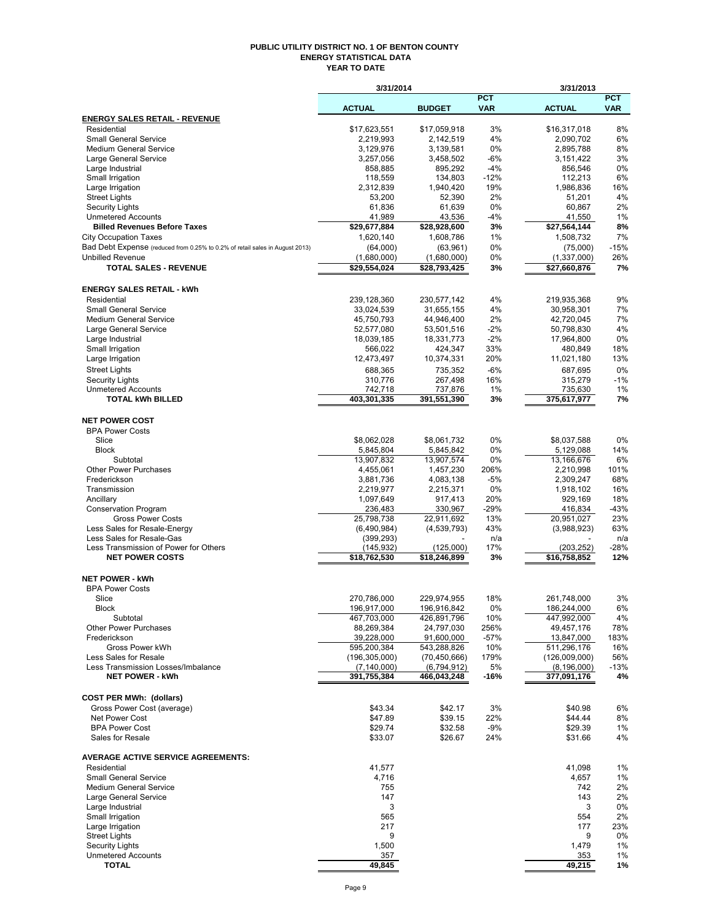#### **PUBLIC UTILITY DISTRICT NO. 1 OF BENTON COUNTY ENERGY STATISTICAL DATA YEAR TO DATE**

|                                                                              | 3/31/2014                    |                            |                          | 3/31/2013                    |                          |
|------------------------------------------------------------------------------|------------------------------|----------------------------|--------------------------|------------------------------|--------------------------|
|                                                                              | <b>ACTUAL</b>                | <b>BUDGET</b>              | <b>PCT</b><br><b>VAR</b> | <b>ACTUAL</b>                | <b>PCT</b><br><b>VAR</b> |
| <b>ENERGY SALES RETAIL - REVENUE</b>                                         |                              |                            |                          |                              |                          |
| Residential                                                                  | \$17,623,551                 | \$17,059,918               | 3%                       | \$16,317,018                 | 8%                       |
| Small General Service                                                        | 2,219,993                    | 2,142,519                  | 4%                       | 2,090,702                    | 6%                       |
| <b>Medium General Service</b>                                                | 3,129,976                    | 3,139,581                  | $0\%$                    | 2,895,788                    | 8%                       |
| Large General Service<br>Large Industrial                                    | 3,257,056<br>858,885         | 3,458,502<br>895,292       | $-6%$<br>$-4%$           | 3,151,422<br>856,546         | 3%<br>0%                 |
| Small Irrigation                                                             | 118,559                      | 134,803                    | $-12%$                   | 112,213                      | 6%                       |
| Large Irrigation                                                             | 2,312,839                    | 1,940,420                  | 19%                      | 1,986,836                    | 16%                      |
| <b>Street Lights</b>                                                         | 53,200                       | 52,390                     | 2%                       | 51,201                       | 4%                       |
| <b>Security Lights</b>                                                       | 61,836                       | 61,639                     | 0%                       | 60,867                       | 2%                       |
| <b>Unmetered Accounts</b>                                                    | 41,989                       | 43,536<br>\$28,928,600     | -4%                      | 41,550<br>\$27,564,144       | 1%<br>8%                 |
| <b>Billed Revenues Before Taxes</b><br><b>City Occupation Taxes</b>          | \$29,677,884<br>1,620,140    | 1,608,786                  | 3%<br>1%                 | 1,508,732                    | 7%                       |
| Bad Debt Expense (reduced from 0.25% to 0.2% of retail sales in August 2013) | (64,000)                     | (63,961)                   | 0%                       | (75,000)                     | $-15%$                   |
| <b>Unbilled Revenue</b>                                                      | (1,680,000)                  | (1,680,000)                | 0%                       | (1,337,000)                  | 26%                      |
| <b>TOTAL SALES - REVENUE</b>                                                 | \$29,554,024                 | \$28,793,425               | 3%                       | \$27,660,876                 | 7%                       |
| <b>ENERGY SALES RETAIL - kWh</b>                                             |                              |                            |                          |                              |                          |
| Residential                                                                  | 239,128,360                  | 230,577,142                | 4%                       | 219,935,368                  | 9%                       |
| <b>Small General Service</b>                                                 | 33,024,539                   | 31,655,155                 | 4%                       | 30,958,301                   | 7%                       |
| <b>Medium General Service</b>                                                | 45,750,793                   | 44,946,400                 | 2%                       | 42,720,045                   | 7%                       |
| Large General Service<br>Large Industrial                                    | 52,577,080<br>18,039,185     | 53,501,516<br>18,331,773   | $-2%$<br>$-2%$           | 50,798,830<br>17,964,800     | 4%<br>0%                 |
| Small Irrigation                                                             | 566,022                      | 424,347                    | 33%                      | 480,849                      | 18%                      |
| Large Irrigation                                                             | 12,473,497                   | 10,374,331                 | 20%                      | 11,021,180                   | 13%                      |
| <b>Street Lights</b>                                                         | 688,365                      | 735.352                    | -6%                      | 687,695                      | 0%                       |
| <b>Security Lights</b>                                                       | 310,776                      | 267,498                    | 16%                      | 315,279                      | $-1%$                    |
| <b>Unmetered Accounts</b>                                                    | 742,718                      | 737,876                    | $1\%$                    | 735,630                      | 1%                       |
| <b>TOTAL kWh BILLED</b>                                                      | 403,301,335                  | 391,551,390                | 3%                       | 375,617,977                  | 7%                       |
| <b>NET POWER COST</b>                                                        |                              |                            |                          |                              |                          |
| <b>BPA Power Costs</b>                                                       |                              |                            |                          |                              |                          |
| Slice<br><b>Block</b>                                                        | \$8,062,028<br>5,845,804     | \$8,061,732<br>5,845,842   | 0%<br>0%                 | \$8,037,588<br>5,129,088     | 0%<br>14%                |
| Subtotal                                                                     | 13,907,832                   | 13,907,574                 | 0%                       | 13,166,676                   | 6%                       |
| <b>Other Power Purchases</b>                                                 | 4,455,061                    | 1,457,230                  | 206%                     | 2,210,998                    | 101%                     |
| Frederickson                                                                 | 3,881,736                    | 4,083,138                  | $-5%$                    | 2,309,247                    | 68%                      |
| Transmission                                                                 | 2,219,977                    | 2,215,371                  | 0%                       | 1,918,102                    | 16%                      |
| Ancillary                                                                    | 1,097,649                    | 917,413                    | 20%                      | 929,169                      | 18%                      |
| <b>Conservation Program</b>                                                  | 236,483                      | 330,967                    | $-29%$                   | 416,834                      | $-43%$                   |
| <b>Gross Power Costs</b><br>Less Sales for Resale-Energy                     | 25,798,738                   | 22,911,692<br>(4,539,793)  | 13%                      | 20,951,027                   | 23%<br>63%               |
| Less Sales for Resale-Gas                                                    | (6,490,984)<br>(399, 293)    |                            | 43%<br>n/a               | (3,988,923)                  | n/a                      |
| Less Transmission of Power for Others                                        | (145, 932)                   | (125,000)                  | 17%                      | (203, 252)                   | $-28%$                   |
| <b>NET POWER COSTS</b>                                                       | \$18,762,530                 | \$18,246,899               | 3%                       | \$16,758,852                 | 12%                      |
| <b>NET POWER - kWh</b>                                                       |                              |                            |                          |                              |                          |
| <b>BPA Power Costs</b>                                                       |                              |                            |                          |                              |                          |
| Slice                                                                        | 270,786,000                  | 229,974,955                | 18%                      | 261,748,000                  | 3%                       |
| Block<br>Subtotal                                                            | 196,917,000<br>467,703,000   | 196,916,842<br>426,891,796 | 0%<br>10%                | 186,244,000<br>447,992,000   | 6%<br>4%                 |
| <b>Other Power Purchases</b>                                                 | 88,269,384                   | 24,797,030                 | 256%                     | 49,457,176                   | 78%                      |
| Frederickson                                                                 | 39,228,000                   | 91,600,000                 | $-57%$                   | 13,847,000                   | 183%                     |
| Gross Power kWh                                                              | 595,200,384                  | 543,288,826                | 10%                      | 511,296,176                  | 16%                      |
| Less Sales for Resale                                                        | (196, 305, 000)              | (70, 450, 666)             | 179%                     | (126,009,000)                | 56%                      |
| Less Transmission Losses/Imbalance<br><b>NET POWER - kWh</b>                 | (7, 140, 000)<br>391,755,384 | (6,794,912)<br>466,043,248 | 5%<br>$-16%$             | (8, 196, 000)<br>377,091,176 | $-13%$<br>4%             |
|                                                                              |                              |                            |                          |                              |                          |
| <b>COST PER MWh: (dollars)</b>                                               |                              |                            |                          |                              |                          |
| Gross Power Cost (average)<br>Net Power Cost                                 | \$43.34<br>\$47.89           | \$42.17<br>\$39.15         | 3%<br>22%                | \$40.98<br>\$44.44           | 6%<br>8%                 |
| <b>BPA Power Cost</b>                                                        | \$29.74                      | \$32.58                    | -9%                      | \$29.39                      | 1%                       |
| Sales for Resale                                                             | \$33.07                      | \$26.67                    | 24%                      | \$31.66                      | 4%                       |
| <b>AVERAGE ACTIVE SERVICE AGREEMENTS:</b>                                    |                              |                            |                          |                              |                          |
| Residential                                                                  | 41,577                       |                            |                          | 41,098                       | 1%                       |
| <b>Small General Service</b>                                                 | 4,716                        |                            |                          | 4,657                        | 1%                       |
| <b>Medium General Service</b>                                                | 755                          |                            |                          | 742                          | 2%                       |
| Large General Service<br>Large Industrial                                    | 147<br>3                     |                            |                          | 143<br>3                     | 2%                       |
| Small Irrigation                                                             | 565                          |                            |                          | 554                          | 0%<br>2%                 |
| Large Irrigation                                                             | 217                          |                            |                          | 177                          | 23%                      |
| <b>Street Lights</b>                                                         | 9                            |                            |                          | 9                            | 0%                       |
| <b>Security Lights</b>                                                       | 1,500                        |                            |                          | 1,479                        | 1%                       |
| <b>Unmetered Accounts</b>                                                    | 357                          |                            |                          | 353                          | 1%                       |
| <b>TOTAL</b>                                                                 | 49,845                       |                            |                          | 49,215                       | 1%                       |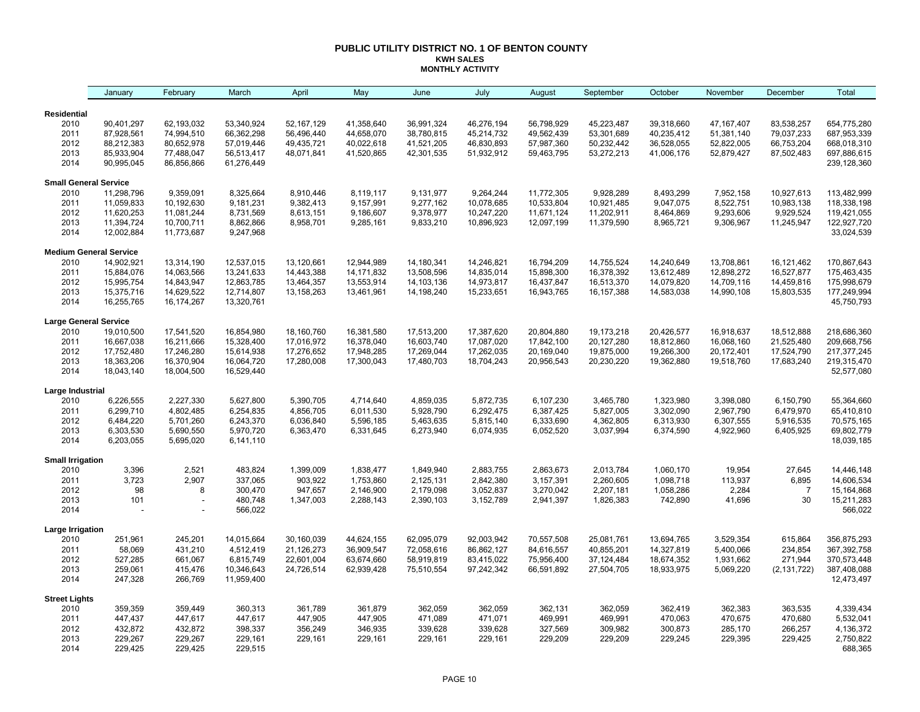#### **PUBLIC UTILITY DISTRICT NO. 1 OF BENTON COUNTY KWH SALES MONTHLY ACTIVITY**

|                                 | January                  | February                 | March                    | April                    | May                        | June                     | July                     | August                   | September                | October                  | November                 | December                 | Total                      |
|---------------------------------|--------------------------|--------------------------|--------------------------|--------------------------|----------------------------|--------------------------|--------------------------|--------------------------|--------------------------|--------------------------|--------------------------|--------------------------|----------------------------|
| <b>Residential</b>              |                          |                          |                          |                          |                            |                          |                          |                          |                          |                          |                          |                          |                            |
| 2010                            | 90,401,297               | 62,193,032               | 53,340,924               | 52,167,129               | 41,358,640                 | 36,991,324               | 46,276,194               | 56,798,929               | 45,223,487               | 39,318,660               | 47, 167, 407             | 83,538,257               | 654,775,280                |
| 2011                            | 87,928,561               | 74,994,510               | 66,362,298               | 56,496,440               | 44,658,070                 | 38,780,815               | 45,214,732               | 49,562,439               | 53,301,689               | 40,235,412               | 51,381,140               | 79,037,233               | 687,953,339                |
| 2012                            | 88,212,383               | 80,652,978               | 57,019,446               | 49,435,721               | 40,022,618                 | 41,521,205               | 46,830,893               | 57,987,360               | 50,232,442               | 36,528,055               | 52,822,005               | 66,753,204               | 668,018,310                |
| 2013                            | 85,933,904               | 77,488,047               | 56,513,417               | 48,071,841               | 41,520,865                 | 42,301,535               | 51,932,912               | 59,463,795               | 53,272,213               | 41,006,176               | 52,879,427               | 87,502,483               | 697,886,615                |
| 2014                            | 90,995,045               | 86,856,866               | 61,276,449               |                          |                            |                          |                          |                          |                          |                          |                          |                          | 239,128,360                |
| <b>Small General Service</b>    |                          |                          |                          |                          |                            |                          |                          |                          |                          |                          |                          |                          |                            |
| 2010                            | 11,298,796               | 9,359,091                | 8,325,664                | 8,910,446                | 8,119,117                  | 9,131,977                | 9,264,244                | 11,772,305               | 9,928,289                | 8,493,299                | 7,952,158                | 10,927,613               | 113,482,999                |
| 2011                            | 11,059,833               | 10,192,630               | 9,181,231                | 9,382,413                | 9,157,991                  | 9,277,162                | 10,078,685               | 10,533,804               | 10,921,485               | 9,047,075                | 8,522,751                | 10,983,138               | 118,338,198                |
| 2012                            | 11,620,253               | 11,081,244               | 8,731,569                | 8,613,151                | 9,186,607                  | 9,378,977                | 10,247,220               | 11,671,124               | 11,202,911               | 8,464,869                | 9,293,606                | 9,929,524                | 119,421,055                |
| 2013<br>2014                    | 11,394,724<br>12,002,884 | 10,700,711<br>11,773,687 | 8,862,866<br>9,247,968   | 8,958,701                | 9,285,161                  | 9,833,210                | 10,896,923               | 12,097,199               | 11,379,590               | 8,965,721                | 9,306,967                | 11,245,947               | 122,927,720<br>33,024,539  |
|                                 |                          |                          |                          |                          |                            |                          |                          |                          |                          |                          |                          |                          |                            |
| <b>Medium General Service</b>   |                          |                          |                          |                          |                            |                          |                          |                          |                          |                          |                          |                          |                            |
| 2010<br>2011                    | 14,902,921<br>15,884,076 | 13,314,190<br>14,063,566 | 12,537,015<br>13,241,633 | 13,120,661<br>14,443,388 | 12,944,989<br>14, 171, 832 | 14,180,341<br>13,508,596 | 14,246,821<br>14,835,014 | 16,794,209<br>15,898,300 | 14,755,524<br>16,378,392 | 14,240,649<br>13,612,489 | 13,708,861<br>12,898,272 | 16,121,462<br>16,527,877 | 170,867,643<br>175,463,435 |
| 2012                            | 15,995,754               | 14,843,947               | 12,863,785               | 13,464,357               | 13,553,914                 | 14,103,136               | 14,973,817               | 16,437,847               | 16,513,370               | 14,079,820               | 14,709,116               | 14,459,816               | 175,998,679                |
| 2013                            | 15,375,716               | 14,629,522               | 12,714,807               | 13,158,263               | 13,461,961                 | 14,198,240               | 15,233,651               | 16,943,765               | 16, 157, 388             | 14,583,038               | 14,990,108               | 15,803,535               | 177,249,994                |
| 2014                            | 16,255,765               | 16,174,267               | 13,320,761               |                          |                            |                          |                          |                          |                          |                          |                          |                          | 45,750,793                 |
| <b>Large General Service</b>    |                          |                          |                          |                          |                            |                          |                          |                          |                          |                          |                          |                          |                            |
| 2010                            | 19,010,500               | 17,541,520               | 16,854,980               | 18,160,760               | 16,381,580                 | 17,513,200               | 17,387,620               | 20,804,880               | 19,173,218               | 20,426,577               | 16,918,637               | 18,512,888               | 218,686,360                |
| 2011                            | 16,667,038               | 16,211,666               | 15,328,400               | 17,016,972               | 16,378,040                 | 16,603,740               | 17,087,020               | 17,842,100               | 20,127,280               | 18,812,860               | 16,068,160               | 21,525,480               | 209,668,756                |
| 2012                            | 17,752,480               | 17,246,280               | 15,614,938               | 17,276,652               | 17,948,285                 | 17,269,044               | 17,262,035               | 20,169,040               | 19,875,000               | 19,266,300               | 20,172,401               | 17,524,790               | 217, 377, 245              |
| 2013                            | 18,363,206               | 16,370,904               | 16,064,720               | 17,280,008               | 17,300,043                 | 17,480,703               | 18,704,243               | 20,956,543               | 20,230,220               | 19,362,880               | 19,518,760               | 17,683,240               | 219,315,470                |
| 2014                            | 18,043,140               | 18,004,500               | 16,529,440               |                          |                            |                          |                          |                          |                          |                          |                          |                          | 52,577,080                 |
| Large Industrial                |                          |                          |                          |                          |                            |                          |                          |                          |                          |                          |                          |                          |                            |
| 2010                            | 6,226,555                | 2,227,330                | 5,627,800                | 5,390,705                | 4,714,640                  | 4,859,035                | 5,872,735                | 6,107,230                | 3,465,780                | 1,323,980                | 3,398,080                | 6,150,790                | 55,364,660                 |
| 2011                            | 6,299,710                | 4,802,485                | 6,254,835                | 4,856,705                | 6,011,530                  | 5,928,790                | 6,292,475                | 6,387,425                | 5,827,005                | 3,302,090                | 2,967,790                | 6,479,970                | 65,410,810                 |
| 2012                            | 6,484,220                | 5,701,260                | 6,243,370                | 6,036,840                | 5,596,185                  | 5,463,635                | 5,815,140                | 6,333,690                | 4,362,805                | 6,313,930                | 6,307,555                | 5,916,535                | 70,575,165                 |
| 2013<br>2014                    | 6,303,530<br>6,203,055   | 5,690,550<br>5,695,020   | 5,970,720<br>6,141,110   | 6,363,470                | 6,331,645                  | 6,273,940                | 6,074,935                | 6,052,520                | 3,037,994                | 6,374,590                | 4,922,960                | 6,405,925                | 69,802,779<br>18,039,185   |
|                                 |                          |                          |                          |                          |                            |                          |                          |                          |                          |                          |                          |                          |                            |
| <b>Small Irrigation</b><br>2010 | 3,396                    | 2,521                    | 483,824                  | 1,399,009                | 1,838,477                  | 1,849,940                | 2,883,755                | 2,863,673                | 2,013,784                | 1,060,170                | 19,954                   | 27,645                   | 14,446,148                 |
| 2011                            | 3,723                    | 2,907                    | 337,065                  | 903,922                  | 1,753,860                  | 2,125,131                | 2,842,380                | 3,157,391                | 2,260,605                | 1,098,718                | 113,937                  | 6,895                    | 14,606,534                 |
| 2012                            | 98                       | 8                        | 300,470                  | 947,657                  | 2,146,900                  | 2,179,098                | 3,052,837                | 3,270,042                | 2,207,181                | 1,058,286                | 2,284                    | $\overline{7}$           | 15,164,868                 |
| 2013                            | 101                      |                          | 480,748                  | 1,347,003                | 2,288,143                  | 2,390,103                | 3,152,789                | 2,941,397                | 1,826,383                | 742,890                  | 41,696                   | 30                       | 15,211,283                 |
| 2014                            |                          |                          | 566,022                  |                          |                            |                          |                          |                          |                          |                          |                          |                          | 566,022                    |
| Large Irrigation                |                          |                          |                          |                          |                            |                          |                          |                          |                          |                          |                          |                          |                            |
| 2010                            | 251,961                  | 245,201                  | 14,015,664               | 30,160,039               | 44,624,155                 | 62,095,079               | 92,003,942               | 70,557,508               | 25,081,761               | 13,694,765               | 3,529,354                | 615,864                  | 356,875,293                |
| 2011                            | 58,069                   | 431,210                  | 4,512,419                | 21,126,273               | 36,909,547                 | 72,058,616               | 86,862,127               | 84,616,557               | 40,855,201               | 14,327,819               | 5,400,066                | 234,854                  | 367,392,758                |
| 2012                            | 527,285                  | 661,067                  | 6,815,749                | 22,601,004               | 63,674,660                 | 58,919,819               | 83,415,022               | 75,956,400               | 37,124,484               | 18,674,352               | 1,931,662                | 271,944                  | 370,573,448                |
| 2013<br>2014                    | 259,061<br>247,328       | 415,476<br>266,769       | 10,346,643<br>11,959,400 | 24,726,514               | 62,939,428                 | 75,510,554               | 97,242,342               | 66,591,892               | 27,504,705               | 18,933,975               | 5,069,220                | (2, 131, 722)            | 387,408,088<br>12,473,497  |
| <b>Street Lights</b>            |                          |                          |                          |                          |                            |                          |                          |                          |                          |                          |                          |                          |                            |
| 2010                            | 359,359                  | 359,449                  | 360,313                  | 361,789                  | 361,879                    | 362,059                  | 362,059                  | 362,131                  | 362,059                  | 362,419                  | 362,383                  | 363,535                  | 4,339,434                  |
| 2011                            | 447,437                  | 447,617                  | 447,617                  | 447,905                  | 447,905                    | 471,089                  | 471,071                  | 469,991                  | 469,991                  | 470,063                  | 470,675                  | 470,680                  | 5,532,041                  |
| 2012                            | 432,872                  | 432,872                  | 398,337                  | 356,249                  | 346,935                    | 339,628                  | 339,628                  | 327,569                  | 309,982                  | 300,873                  | 285,170                  | 266,257                  | 4,136,372                  |
| 2013                            | 229,267                  | 229,267                  | 229,161                  | 229,161                  | 229,161                    | 229,161                  | 229,161                  | 229,209                  | 229,209                  | 229,245                  | 229,395                  | 229,425                  | 2,750,822                  |
| 2014                            | 229,425                  | 229,425                  | 229,515                  |                          |                            |                          |                          |                          |                          |                          |                          |                          | 688,365                    |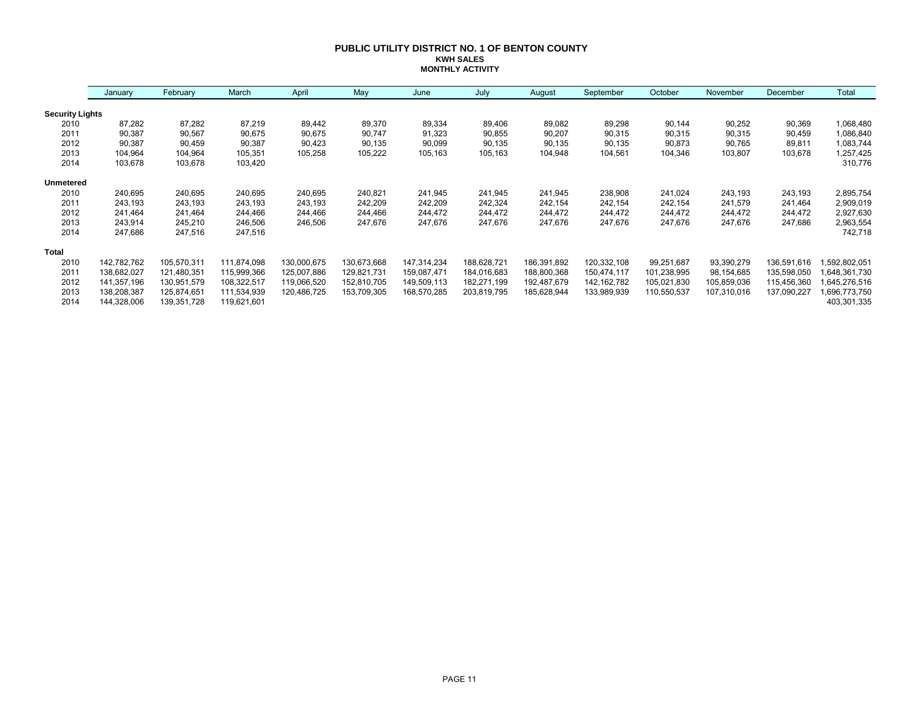#### **PUBLIC UTILITY DISTRICT NO. 1 OF BENTON COUNTY KWH SALES MONTHLY ACTIVITY**

|                        | January     | February    | March       | April       | May         | June        | July        | August      | September     | October     | November    | December    | Total        |
|------------------------|-------------|-------------|-------------|-------------|-------------|-------------|-------------|-------------|---------------|-------------|-------------|-------------|--------------|
| <b>Security Lights</b> |             |             |             |             |             |             |             |             |               |             |             |             |              |
| 2010                   | 87,282      | 87,282      | 87,219      | 89,442      | 89,370      | 89,334      | 89,406      | 89,082      | 89,298        | 90,144      | 90,252      | 90,369      | 1,068,480    |
| 2011                   | 90,387      | 90,567      | 90,675      | 90,675      | 90,747      | 91,323      | 90,855      | 90,207      | 90,315        | 90,315      | 90,315      | 90,459      | 1,086,840    |
| 2012                   | 90,387      | 90,459      | 90,387      | 90,423      | 90,135      | 90,099      | 90,135      | 90,135      | 90,135        | 90,873      | 90,765      | 89,811      | 1,083,744    |
| 2013                   | 104,964     | 104,964     | 105,351     | 105,258     | 105,222     | 105,163     | 105,163     | 104,948     | 104,561       | 104,346     | 103,807     | 103,678     | 1,257,425    |
| 2014                   | 103,678     | 103,678     | 103,420     |             |             |             |             |             |               |             |             |             | 310,776      |
| <b>Unmetered</b>       |             |             |             |             |             |             |             |             |               |             |             |             |              |
| 2010                   | 240,695     | 240,695     | 240,695     | 240,695     | 240,821     | 241,945     | 241,945     | 241,945     | 238,908       | 241,024     | 243,193     | 243,193     | 2,895,754    |
| 2011                   | 243,193     | 243,193     | 243,193     | 243,193     | 242,209     | 242,209     | 242,324     | 242,154     | 242,154       | 242,154     | 241,579     | 241,464     | 2,909,019    |
| 2012                   | 241,464     | 241,464     | 244,466     | 244,466     | 244,466     | 244,472     | 244,472     | 244,472     | 244,472       | 244,472     | 244,472     | 244,472     | 2,927,630    |
| 2013                   | 243,914     | 245,210     | 246,506     | 246,506     | 247,676     | 247,676     | 247,676     | 247,676     | 247,676       | 247,676     | 247,676     | 247,686     | 2,963,554    |
| 2014                   | 247,686     | 247,516     | 247,516     |             |             |             |             |             |               |             |             |             | 742,718      |
| <b>Total</b>           |             |             |             |             |             |             |             |             |               |             |             |             |              |
| 2010                   | 142,782,762 | 105,570,311 | 111,874,098 | 130,000,675 | 130,673,668 | 147,314,234 | 188,628,721 | 186,391,892 | 120,332,108   | 99,251,687  | 93,390,279  | 136,591,616 | ,592,802,051 |
| 2011                   | 138,682,027 | 121,480,351 | 115,999,366 | 125,007,886 | 129,821,731 | 159,087,471 | 184,016,683 | 188,800,368 | 150,474,117   | 101,238,995 | 98,154,685  | 135,598,050 | 648,361,730  |
| 2012                   | 141,357,196 | 130,951,579 | 108,322,517 | 119,066,520 | 152,810,705 | 149,509,113 | 182,271,199 | 192,487,679 | 142, 162, 782 | 105,021,830 | 105,859,036 | 115,456,360 | 645,276,516  |
| 2013                   | 138,208,387 | 125,874,651 | 111,534,939 | 120,486,725 | 153,709,305 | 168,570,285 | 203,819,795 | 185,628,944 | 133,989,939   | 110,550,537 | 107,310,016 | 137,090,227 | 696,773,750  |
| 2014                   | 144,328,006 | 139,351,728 | 119,621,601 |             |             |             |             |             |               |             |             |             | 403,301,335  |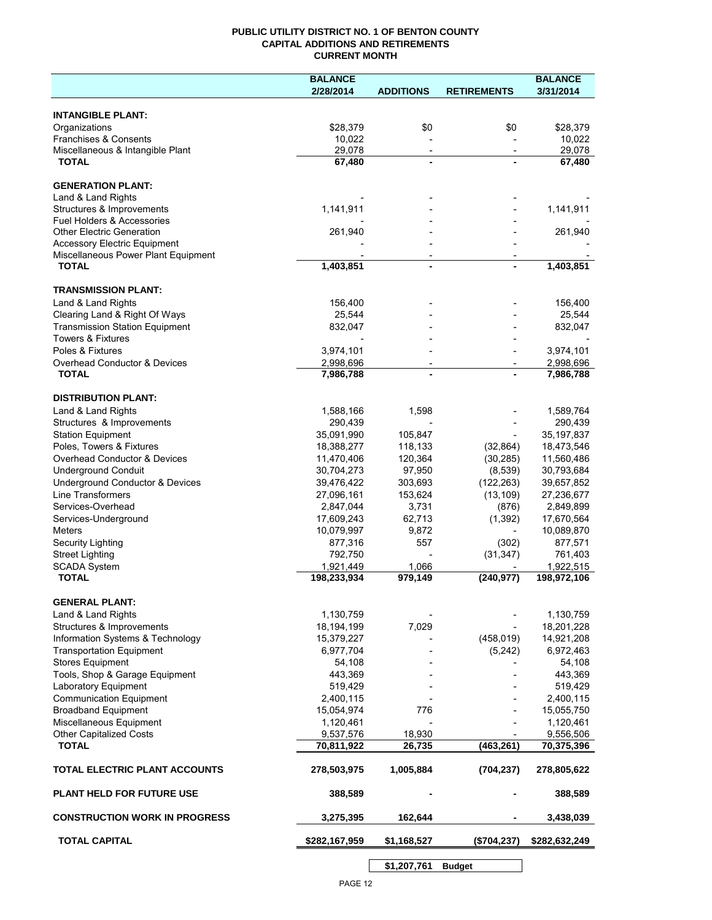## **PUBLIC UTILITY DISTRICT NO. 1 OF BENTON COUNTY CAPITAL ADDITIONS AND RETIREMENTS CURRENT MONTH**

|                                                        | <b>BALANCE</b>           |                          |                          | <b>BALANCE</b>           |
|--------------------------------------------------------|--------------------------|--------------------------|--------------------------|--------------------------|
|                                                        | 2/28/2014                | <b>ADDITIONS</b>         | <b>RETIREMENTS</b>       | 3/31/2014                |
| <b>INTANGIBLE PLANT:</b>                               |                          |                          |                          |                          |
| Organizations                                          | \$28,379                 | \$0                      | \$0                      | \$28,379                 |
| Franchises & Consents                                  | 10,022                   |                          |                          | 10,022                   |
| Miscellaneous & Intangible Plant                       | 29,078                   | $\overline{\phantom{a}}$ | $\overline{\phantom{a}}$ | 29,078                   |
| <b>TOTAL</b>                                           | 67,480                   | $\blacksquare$           |                          | 67,480                   |
| <b>GENERATION PLANT:</b>                               |                          |                          |                          |                          |
| Land & Land Rights                                     |                          |                          |                          |                          |
| Structures & Improvements                              | 1,141,911                |                          |                          | 1,141,911                |
| Fuel Holders & Accessories                             |                          |                          |                          |                          |
| <b>Other Electric Generation</b>                       | 261,940                  |                          |                          | 261,940                  |
| <b>Accessory Electric Equipment</b>                    |                          |                          |                          |                          |
| Miscellaneous Power Plant Equipment<br><b>TOTAL</b>    | 1,403,851                | $\blacksquare$           |                          | 1,403,851                |
|                                                        |                          |                          |                          |                          |
| <b>TRANSMISSION PLANT:</b>                             |                          |                          |                          |                          |
| Land & Land Rights                                     | 156,400                  |                          |                          | 156,400                  |
| Clearing Land & Right Of Ways                          | 25,544                   |                          |                          | 25,544                   |
| <b>Transmission Station Equipment</b>                  | 832,047                  |                          |                          | 832,047                  |
| <b>Towers &amp; Fixtures</b>                           |                          |                          |                          |                          |
| Poles & Fixtures                                       | 3,974,101                |                          |                          | 3,974,101                |
| Overhead Conductor & Devices                           | 2,998,696                |                          |                          | 2,998,696                |
| <b>TOTAL</b>                                           | 7,986,788                |                          |                          | 7,986,788                |
| <b>DISTRIBUTION PLANT:</b>                             |                          |                          |                          |                          |
| Land & Land Rights                                     | 1,588,166                | 1,598                    |                          | 1,589,764                |
| Structures & Improvements                              | 290,439                  |                          |                          | 290,439                  |
| <b>Station Equipment</b>                               | 35,091,990               | 105,847                  |                          | 35, 197, 837             |
| Poles, Towers & Fixtures                               | 18,388,277               | 118,133                  | (32, 864)                | 18,473,546               |
| Overhead Conductor & Devices                           | 11,470,406               | 120,364                  | (30, 285)                | 11,560,486               |
| <b>Underground Conduit</b>                             | 30,704,273               | 97,950                   | (8,539)                  | 30,793,684               |
| Underground Conductor & Devices                        | 39,476,422               | 303,693                  | (122, 263)               | 39,657,852               |
| <b>Line Transformers</b>                               | 27,096,161               | 153,624                  | (13, 109)                | 27,236,677               |
| Services-Overhead                                      | 2,847,044                | 3,731                    | (876)                    | 2,849,899                |
| Services-Underground                                   | 17,609,243               | 62,713                   | (1, 392)                 | 17,670,564               |
| Meters                                                 | 10,079,997               | 9,872                    | $\overline{\phantom{a}}$ | 10,089,870               |
| Security Lighting                                      | 877,316                  | 557                      | (302)                    | 877,571                  |
| <b>Street Lighting</b>                                 | 792,750                  |                          | (31, 347)                | 761,403                  |
| SCADA System<br><b>TOTAL</b>                           | 1,921,449<br>198,233,934 | 1,066<br>979,149         | (240, 977)               | 1,922,515<br>198,972,106 |
|                                                        |                          |                          |                          |                          |
| <b>GENERAL PLANT:</b>                                  |                          |                          |                          |                          |
| Land & Land Rights                                     | 1,130,759                |                          |                          | 1,130,759                |
| Structures & Improvements                              | 18,194,199               | 7,029                    |                          | 18,201,228               |
| Information Systems & Technology                       | 15,379,227               |                          | (458, 019)               | 14,921,208               |
| <b>Transportation Equipment</b>                        | 6,977,704                |                          | (5,242)                  | 6,972,463                |
| <b>Stores Equipment</b>                                | 54,108                   |                          |                          | 54,108                   |
| Tools, Shop & Garage Equipment                         | 443,369<br>519,429       |                          |                          | 443,369<br>519,429       |
| Laboratory Equipment<br><b>Communication Equipment</b> | 2,400,115                |                          |                          | 2,400,115                |
| <b>Broadband Equipment</b>                             | 15,054,974               | 776                      |                          | 15,055,750               |
| Miscellaneous Equipment                                | 1,120,461                |                          |                          | 1,120,461                |
| <b>Other Capitalized Costs</b>                         | 9,537,576                | 18,930                   |                          | 9,556,506                |
| <b>TOTAL</b>                                           | 70,811,922               | 26,735                   | (463, 261)               | 70,375,396               |
| TOTAL ELECTRIC PLANT ACCOUNTS                          | 278,503,975              | 1,005,884                | (704, 237)               | 278,805,622              |
| <b>PLANT HELD FOR FUTURE USE</b>                       | 388,589                  |                          |                          | 388,589                  |
| <b>CONSTRUCTION WORK IN PROGRESS</b>                   | 3,275,395                | 162,644                  |                          | 3,438,039                |
| <b>TOTAL CAPITAL</b>                                   | \$282,167,959            | \$1,168,527              | (\$704, 237)             | \$282,632,249            |
|                                                        |                          |                          |                          |                          |

**\$1,207,761 Budget**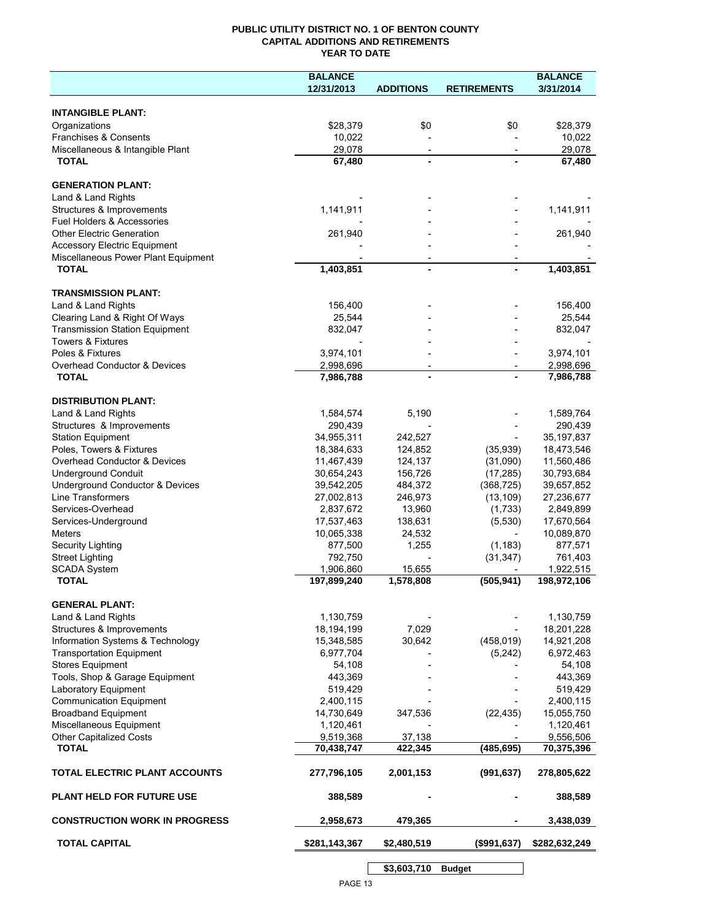## **PUBLIC UTILITY DISTRICT NO. 1 OF BENTON COUNTY CAPITAL ADDITIONS AND RETIREMENTS YEAR TO DATE**

|                                                                    | <b>BALANCE</b>          |                          |                          | <b>BALANCE</b>          |
|--------------------------------------------------------------------|-------------------------|--------------------------|--------------------------|-------------------------|
|                                                                    | 12/31/2013              | <b>ADDITIONS</b>         | <b>RETIREMENTS</b>       | 3/31/2014               |
|                                                                    |                         |                          |                          |                         |
| <b>INTANGIBLE PLANT:</b>                                           |                         |                          |                          |                         |
| Organizations                                                      | \$28,379                | \$0                      | \$0                      | \$28,379                |
| Franchises & Consents                                              | 10,022                  |                          |                          | 10,022                  |
| Miscellaneous & Intangible Plant                                   | 29,078                  | $\overline{\phantom{a}}$ | $\overline{\phantom{a}}$ | 29,078                  |
| <b>TOTAL</b>                                                       | 67,480                  |                          |                          | 67,480                  |
| <b>GENERATION PLANT:</b>                                           |                         |                          |                          |                         |
|                                                                    |                         |                          |                          |                         |
| Land & Land Rights                                                 |                         |                          |                          |                         |
| Structures & Improvements<br><b>Fuel Holders &amp; Accessories</b> | 1,141,911               |                          |                          | 1,141,911               |
| <b>Other Electric Generation</b>                                   |                         |                          |                          | 261,940                 |
| <b>Accessory Electric Equipment</b>                                | 261,940                 |                          |                          |                         |
| Miscellaneous Power Plant Equipment                                |                         |                          |                          |                         |
| <b>TOTAL</b>                                                       | 1,403,851               |                          |                          | 1,403,851               |
|                                                                    |                         |                          |                          |                         |
| <b>TRANSMISSION PLANT:</b>                                         |                         |                          |                          |                         |
| Land & Land Rights                                                 | 156,400                 |                          |                          | 156,400                 |
| Clearing Land & Right Of Ways                                      | 25,544                  |                          |                          | 25,544                  |
| <b>Transmission Station Equipment</b>                              | 832,047                 |                          |                          | 832,047                 |
| <b>Towers &amp; Fixtures</b>                                       |                         |                          |                          |                         |
| Poles & Fixtures                                                   | 3,974,101               |                          |                          | 3,974,101               |
| Overhead Conductor & Devices                                       | 2,998,696               | $\overline{\phantom{a}}$ |                          | 2,998,696               |
| <b>TOTAL</b>                                                       | 7,986,788               | $\blacksquare$           |                          | 7,986,788               |
|                                                                    |                         |                          |                          |                         |
| <b>DISTRIBUTION PLANT:</b>                                         |                         |                          |                          |                         |
| Land & Land Rights                                                 | 1,584,574               | 5,190                    |                          | 1,589,764               |
| Structures & Improvements                                          | 290,439                 |                          |                          | 290,439                 |
| <b>Station Equipment</b>                                           | 34,955,311              | 242,527                  |                          | 35,197,837              |
| Poles, Towers & Fixtures                                           | 18,384,633              | 124,852                  | (35,939)                 | 18,473,546              |
| Overhead Conductor & Devices                                       | 11,467,439              | 124,137                  | (31,090)                 | 11,560,486              |
| <b>Underground Conduit</b>                                         | 30,654,243              | 156,726                  | (17, 285)                | 30,793,684              |
| Underground Conductor & Devices                                    | 39,542,205              | 484,372                  | (368, 725)               | 39,657,852              |
| Line Transformers                                                  | 27,002,813              | 246,973                  | (13, 109)                | 27,236,677              |
| Services-Overhead                                                  | 2,837,672               | 13,960                   | (1,733)                  | 2,849,899               |
| Services-Underground                                               | 17,537,463              | 138,631                  | (5,530)                  | 17,670,564              |
| <b>Meters</b>                                                      | 10,065,338              | 24,532                   |                          | 10,089,870              |
| Security Lighting                                                  | 877,500                 | 1,255                    | (1, 183)                 | 877,571                 |
| <b>Street Lighting</b>                                             | 792,750                 |                          | (31, 347)                | 761,403                 |
| <b>SCADA System</b>                                                | 1,906,860               | 15,655                   |                          | 1,922,515               |
| <b>TOTAL</b>                                                       | 197,899,240             | 1,578,808                | (505, 941)               | 198,972,106             |
|                                                                    |                         |                          |                          |                         |
| <b>GENERAL PLANT:</b>                                              |                         |                          |                          |                         |
| Land & Land Rights                                                 | 1,130,759               |                          |                          | 1,130,759               |
| Structures & Improvements                                          | 18,194,199              | 7,029                    |                          | 18,201,228              |
| Information Systems & Technology                                   | 15,348,585              | 30,642                   | (458, 019)               | 14,921,208              |
| <b>Transportation Equipment</b>                                    | 6,977,704               |                          | (5, 242)                 | 6,972,463               |
| <b>Stores Equipment</b>                                            | 54,108                  |                          |                          | 54,108                  |
| Tools, Shop & Garage Equipment                                     | 443,369                 |                          |                          | 443,369                 |
| Laboratory Equipment                                               | 519,429                 |                          |                          | 519,429                 |
| <b>Communication Equipment</b>                                     | 2,400,115               |                          |                          | 2,400,115               |
| <b>Broadband Equipment</b>                                         | 14,730,649              | 347,536                  | (22, 435)                | 15,055,750              |
| Miscellaneous Equipment                                            | 1,120,461               |                          |                          | 1,120,461               |
| <b>Other Capitalized Costs</b><br><b>TOTAL</b>                     | 9,519,368<br>70,438,747 | 37,138<br>422,345        | (485, 695)               | 9,556,506<br>70,375,396 |
|                                                                    |                         |                          |                          |                         |
| TOTAL ELECTRIC PLANT ACCOUNTS                                      | 277,796,105             | 2,001,153                | (991, 637)               | 278,805,622             |
| <b>PLANT HELD FOR FUTURE USE</b>                                   | 388,589                 |                          |                          | 388,589                 |
| <b>CONSTRUCTION WORK IN PROGRESS</b>                               |                         | 479,365                  |                          |                         |
|                                                                    | 2,958,673               |                          |                          | 3,438,039               |
| <b>TOTAL CAPITAL</b>                                               | \$281,143,367           | \$2,480,519              | (\$991, 637)             | \$282,632,249           |
|                                                                    |                         | \$3,603,710              | <b>Budget</b>            |                         |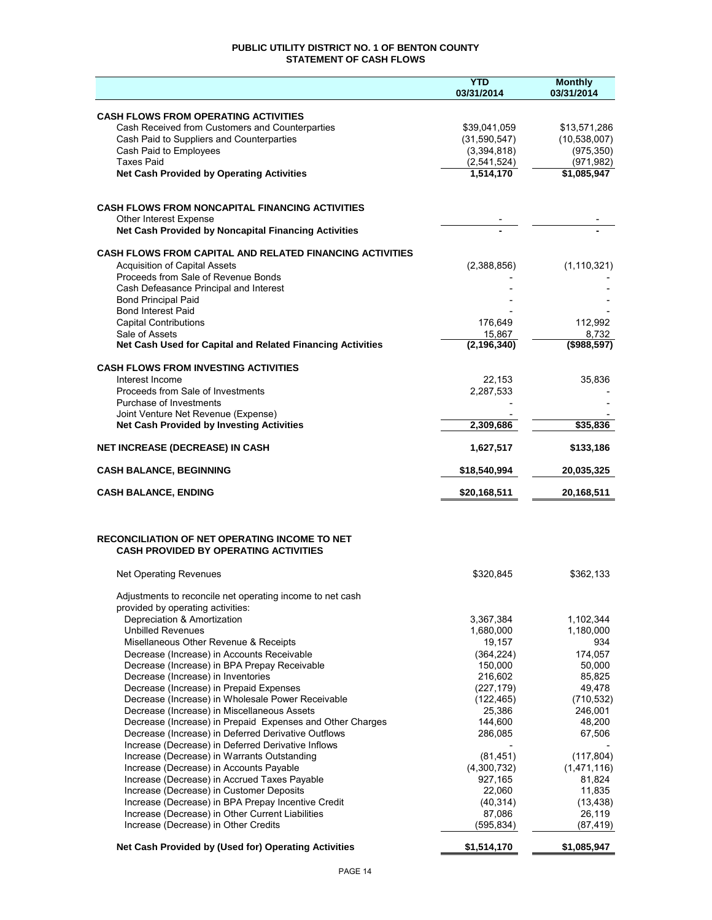## **PUBLIC UTILITY DISTRICT NO. 1 OF BENTON COUNTY STATEMENT OF CASH FLOWS**

|                                                                                                      | <b>YTD</b><br>03/31/2014 | <b>Monthly</b><br>03/31/2014 |
|------------------------------------------------------------------------------------------------------|--------------------------|------------------------------|
| <b>CASH FLOWS FROM OPERATING ACTIVITIES</b>                                                          |                          |                              |
| Cash Received from Customers and Counterparties                                                      | \$39,041,059             | \$13,571,286                 |
| Cash Paid to Suppliers and Counterparties                                                            | (31,590,547)             | (10, 538, 007)               |
| Cash Paid to Employees                                                                               | (3,394,818)              | (975, 350)                   |
| <b>Taxes Paid</b>                                                                                    | (2,541,524)              | (971, 982)                   |
| <b>Net Cash Provided by Operating Activities</b>                                                     | 1,514,170                | \$1,085,947                  |
| <b>CASH FLOWS FROM NONCAPITAL FINANCING ACTIVITIES</b>                                               |                          |                              |
| Other Interest Expense                                                                               |                          |                              |
| Net Cash Provided by Noncapital Financing Activities                                                 |                          |                              |
| <b>CASH FLOWS FROM CAPITAL AND RELATED FINANCING ACTIVITIES</b>                                      |                          |                              |
| <b>Acquisition of Capital Assets</b>                                                                 | (2,388,856)              | (1, 110, 321)                |
| Proceeds from Sale of Revenue Bonds                                                                  |                          |                              |
| Cash Defeasance Principal and Interest                                                               |                          |                              |
| <b>Bond Principal Paid</b><br><b>Bond Interest Paid</b>                                              |                          |                              |
| <b>Capital Contributions</b>                                                                         | 176.649                  | 112,992                      |
| Sale of Assets                                                                                       | 15,867                   | 8,732                        |
| Net Cash Used for Capital and Related Financing Activities                                           | (2, 196, 340)            | (\$988,597)                  |
| <b>CASH FLOWS FROM INVESTING ACTIVITIES</b>                                                          |                          |                              |
| Interest Income                                                                                      | 22,153                   | 35,836                       |
| Proceeds from Sale of Investments                                                                    | 2,287,533                |                              |
| Purchase of Investments<br>Joint Venture Net Revenue (Expense)                                       |                          |                              |
| <b>Net Cash Provided by Investing Activities</b>                                                     | 2,309,686                | \$35,836                     |
| <b>NET INCREASE (DECREASE) IN CASH</b>                                                               | 1,627,517                | \$133,186                    |
| <b>CASH BALANCE, BEGINNING</b>                                                                       | \$18,540,994             | 20,035,325                   |
| <b>CASH BALANCE, ENDING</b>                                                                          | \$20,168,511             | 20,168,511                   |
|                                                                                                      |                          |                              |
| <b>RECONCILIATION OF NET OPERATING INCOME TO NET</b><br><b>CASH PROVIDED BY OPERATING ACTIVITIES</b> |                          |                              |
| <b>Net Operating Revenues</b>                                                                        | \$320,845                | \$362,133                    |
| Adjustments to reconcile net operating income to net cash<br>provided by operating activities:       |                          |                              |
| Depreciation & Amortization                                                                          | 3,367,384                | 1,102,344                    |
| <b>Unbilled Revenues</b>                                                                             | 1,680,000                | 1,180,000                    |
| Misellaneous Other Revenue & Receipts                                                                | 19,157                   | 934                          |
| Decrease (Increase) in Accounts Receivable                                                           | (364, 224)               | 174,057                      |
| Decrease (Increase) in BPA Prepay Receivable                                                         | 150,000                  | 50,000                       |
| Decrease (Increase) in Inventories                                                                   | 216,602<br>(227, 179)    | 85,825<br>49,478             |
| Decrease (Increase) in Prepaid Expenses<br>Decrease (Increase) in Wholesale Power Receivable         | (122, 465)               | (710, 532)                   |
| Decrease (Increase) in Miscellaneous Assets                                                          | 25,386                   | 246,001                      |
| Decrease (Increase) in Prepaid Expenses and Other Charges                                            | 144,600                  | 48,200                       |
| Decrease (Increase) in Deferred Derivative Outflows                                                  | 286,085                  | 67,506                       |
| Increase (Decrease) in Deferred Derivative Inflows                                                   |                          |                              |
| Increase (Decrease) in Warrants Outstanding                                                          | (81, 451)                | (117, 804)                   |
| Increase (Decrease) in Accounts Payable                                                              | (4,300,732)              | (1,471,116)                  |
| Increase (Decrease) in Accrued Taxes Payable                                                         | 927,165<br>22,060        | 81,824<br>11,835             |
| Increase (Decrease) in Customer Deposits<br>Increase (Decrease) in BPA Prepay Incentive Credit       | (40, 314)                | (13, 438)                    |
| Increase (Decrease) in Other Current Liabilities                                                     | 87,086                   | 26,119                       |
| Increase (Decrease) in Other Credits                                                                 | (595, 834)               | (87, 419)                    |
| Net Cash Provided by (Used for) Operating Activities                                                 | \$1,514,170              | \$1,085,947                  |
|                                                                                                      |                          |                              |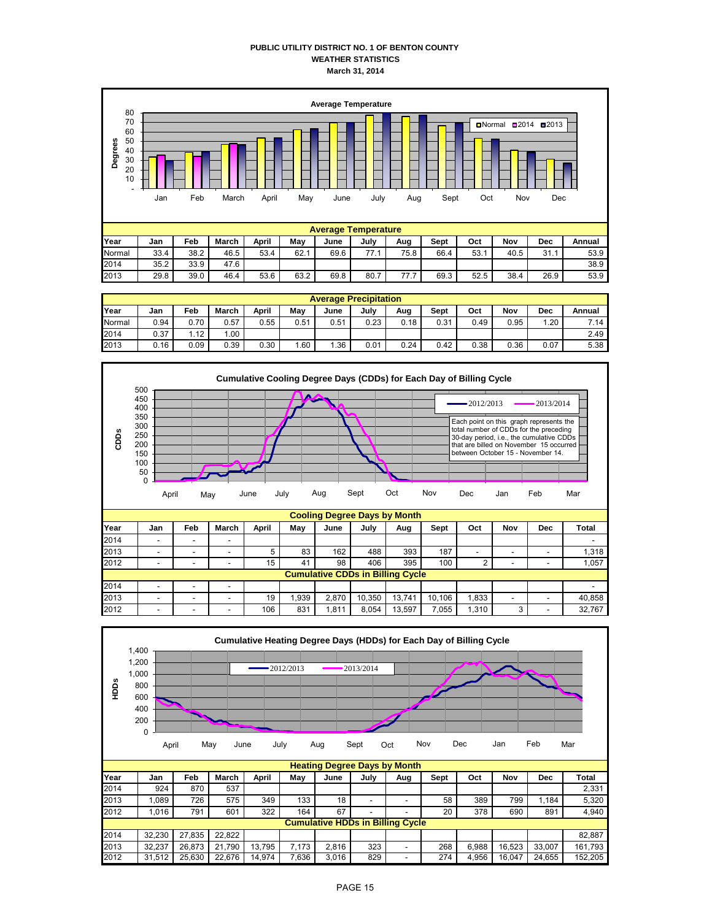## **PUBLIC UTILITY DISTRICT NO. 1 OF BENTON COUNTY WEATHER STATISTICS March 31, 2014**



|        | <b>Average Precipitation</b> |      |       |       |      |      |      |      |      |      |      |      |        |  |  |
|--------|------------------------------|------|-------|-------|------|------|------|------|------|------|------|------|--------|--|--|
| Year   | Jan                          | Feb  | March | April | May  | June | July | Aug  | Sept | Oct  | Nov  | Dec  | Annual |  |  |
| Normal | 0.94                         | 0.70 | 0.57  | 0.55  | 0.51 | 0.51 | 0.23 | 0.18 | 0.31 | 0.49 | 0.95 | 1.20 | 7.14   |  |  |
| 2014   | 0.37                         | 1.12 | .00   |       |      |      |      |      |      |      |      |      | 2.49   |  |  |
| 2013   | 0.16                         | 0.09 | 0.39  | 0.30  | 1.60 | .36  | 0.01 | 0.24 | 0.42 | 0.38 | 0.36 | 0.07 | 5.38   |  |  |



2013 | - | - | - | 19| 1,939| 2,870|10,350|13,741|10,106| 1,833| - | - | 40,858

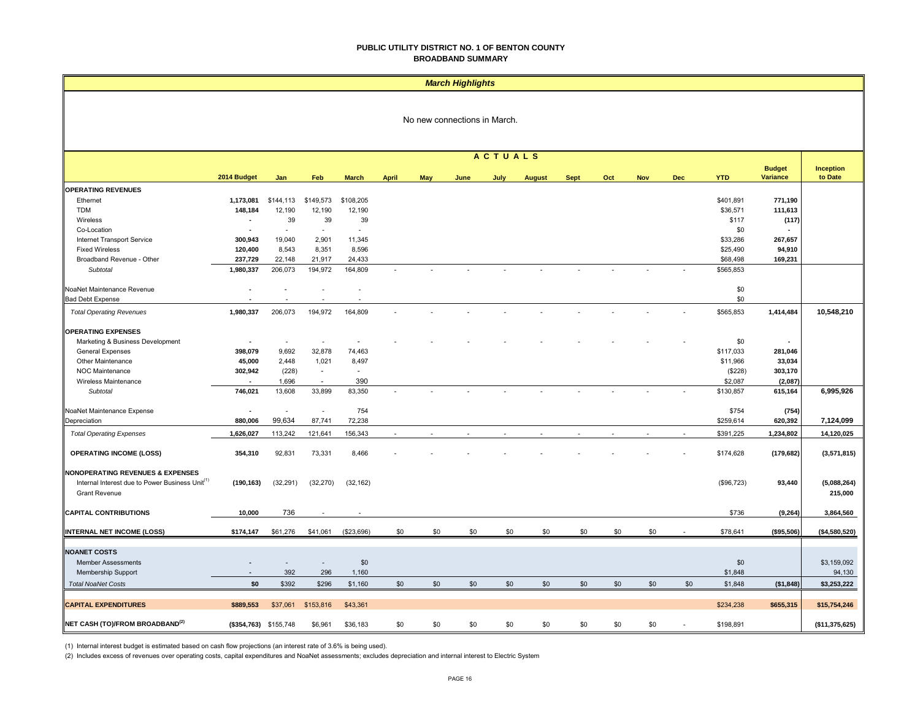#### **PUBLIC UTILITY DISTRICT NO. 1 OF BENTON COUNTY BROADBAND SUMMARY**

|                                                                                                                                    | <b>March Highlights</b>  |                          |                                |              |              |            |      |                |               |             |        |        |            |            |                 |                        |
|------------------------------------------------------------------------------------------------------------------------------------|--------------------------|--------------------------|--------------------------------|--------------|--------------|------------|------|----------------|---------------|-------------|--------|--------|------------|------------|-----------------|------------------------|
| No new connections in March.                                                                                                       |                          |                          |                                |              |              |            |      |                |               |             |        |        |            |            |                 |                        |
|                                                                                                                                    |                          |                          |                                |              |              |            |      | <b>ACTUALS</b> |               |             |        |        |            |            | <b>Budget</b>   | Inception              |
|                                                                                                                                    | 2014 Budget              | Jan                      | Feb                            | <b>March</b> | <b>April</b> | <b>May</b> | June | July           | <b>August</b> | <b>Sept</b> | Oct    | Nov    | <b>Dec</b> | <b>YTD</b> | <b>Variance</b> | to Date                |
| <b>OPERATING REVENUES</b>                                                                                                          |                          |                          |                                |              |              |            |      |                |               |             |        |        |            |            |                 |                        |
| Ethernet                                                                                                                           | 1,173,081                | \$144,113                | \$149,573                      | \$108,205    |              |            |      |                |               |             |        |        |            | \$401,891  | 771,190         |                        |
| <b>TDM</b>                                                                                                                         | 148,184                  | 12,190                   | 12,190                         | 12,190       |              |            |      |                |               |             |        |        |            | \$36,571   | 111,613         |                        |
| Wireless                                                                                                                           | $\overline{\phantom{a}}$ | 39                       | 39<br>$\overline{\phantom{a}}$ | 39           |              |            |      |                |               |             |        |        |            | \$117      | (117)           |                        |
| Co-Location                                                                                                                        | $\overline{\phantom{a}}$ | $\sim$                   |                                | $\sim$       |              |            |      |                |               |             |        |        |            | \$0        |                 |                        |
| <b>Internet Transport Service</b>                                                                                                  | 300,943                  | 19,040                   | 2,901                          | 11,345       |              |            |      |                |               |             |        |        |            | \$33,286   | 267,657         |                        |
| <b>Fixed Wireless</b>                                                                                                              | 120,400                  | 8,543                    | 8,351                          | 8,596        |              |            |      |                |               |             |        |        |            | \$25,490   | 94,910          |                        |
| Broadband Revenue - Other                                                                                                          | 237,729                  | 22,148                   | 21,917                         | 24,433       |              |            |      |                |               |             |        |        |            | \$68,498   | 169,231         |                        |
| Subtotal                                                                                                                           | 1,980,337                | 206,073                  | 194,972                        | 164,809      |              |            | ÷,   |                |               | $\sim$      | ÷,     | ÷      | ä,         | \$565,853  |                 |                        |
|                                                                                                                                    | $\blacksquare$           |                          | $\sim$                         |              |              |            |      |                |               |             |        |        |            |            |                 |                        |
| NoaNet Maintenance Revenue<br><b>Bad Debt Expense</b>                                                                              |                          |                          |                                | ÷            |              |            |      |                |               |             |        |        |            | \$0<br>\$0 |                 |                        |
| <b>Total Operating Revenues</b>                                                                                                    | 1,980,337                | 206,073                  | 194,972                        | 164,809      |              |            |      |                |               |             |        |        |            | \$565,853  | 1,414,484       | 10,548,210             |
|                                                                                                                                    |                          |                          |                                |              |              |            |      |                |               |             |        |        |            |            |                 |                        |
| <b>OPERATING EXPENSES</b>                                                                                                          |                          |                          |                                |              |              |            |      |                |               |             |        |        |            |            |                 |                        |
| Marketing & Business Development                                                                                                   | $\overline{\phantom{a}}$ | $\overline{\phantom{a}}$ | $\overline{\phantom{a}}$       |              |              |            |      |                |               |             |        |        |            | \$0        |                 |                        |
| <b>General Expenses</b>                                                                                                            | 398,079                  | 9,692                    | 32,878                         | 74,463       |              |            |      |                |               |             |        |        |            | \$117,033  | 281,046         |                        |
| Other Maintenance                                                                                                                  | 45,000                   | 2,448                    | 1,021                          | 8,497        |              |            |      |                |               |             |        |        |            | \$11,966   | 33,034          |                        |
| NOC Maintenance                                                                                                                    | 302,942                  | (228)                    | $\sim$                         | $\sim$       |              |            |      |                |               |             |        |        |            | (\$228)    | 303,170         |                        |
| Wireless Maintenance                                                                                                               |                          | 1,696                    | $\sim$                         | 390          |              |            |      |                |               |             |        |        |            | \$2,087    | (2,087)         |                        |
| Subtotal                                                                                                                           | 746,021                  | 13,608                   | 33,899                         | 83,350       |              |            |      |                |               |             |        |        |            | \$130,857  | 615,164         | 6,995,926              |
| NoaNet Maintenance Expense                                                                                                         | $\blacksquare$           | $\overline{a}$           | $\sim$                         | 754          |              |            |      |                |               |             |        |        |            | \$754      | (754)           |                        |
| Depreciation                                                                                                                       | 880,006                  | 99,634                   | 87,741                         | 72,238       |              |            |      |                |               |             |        |        |            | \$259,614  | 620,392         | 7,124,099              |
| <b>Total Operating Expenses</b>                                                                                                    | 1,626,027                | 113,242                  | 121,641                        | 156,343      | $\sim$       | $\sim$     | ÷.   | $\sim$         | $\sim$        | $\sim$      | $\sim$ | $\sim$ | $\sim$     | \$391,225  | 1,234,802       | 14,120,025             |
|                                                                                                                                    |                          |                          |                                |              |              |            |      |                |               |             |        |        |            |            |                 |                        |
| <b>OPERATING INCOME (LOSS)</b>                                                                                                     | 354,310                  | 92,831                   | 73,331                         | 8,466        |              |            |      |                |               |             |        |        |            | \$174,628  | (179, 682)      | (3,571,815)            |
| <b>NONOPERATING REVENUES &amp; EXPENSES</b><br>Internal Interest due to Power Business Unit <sup>(1)</sup><br><b>Grant Revenue</b> | (190, 163)               | (32, 291)                | (32, 270)                      | (32, 162)    |              |            |      |                |               |             |        |        |            | (\$96,723) | 93,440          | (5,088,264)<br>215,000 |
| <b>CAPITAL CONTRIBUTIONS</b>                                                                                                       | 10,000                   | 736                      |                                |              |              |            |      |                |               |             |        |        |            | \$736      | (9, 264)        | 3,864,560              |
| <b>INTERNAL NET INCOME (LOSS)</b>                                                                                                  | \$174,147                | \$61,276                 | \$41,061                       | (\$23,696)   | \$0          | \$0        | \$0  | \$0            | \$0           | \$0         | \$0    | \$0    |            | \$78,641   | (\$95,506)      | (\$4,580,520)          |
|                                                                                                                                    |                          |                          |                                |              |              |            |      |                |               |             |        |        |            |            |                 |                        |
| <b>NOANET COSTS</b>                                                                                                                |                          |                          |                                |              |              |            |      |                |               |             |        |        |            |            |                 |                        |
| <b>Member Assessments</b>                                                                                                          |                          | $\overline{a}$           | $\overline{\phantom{a}}$       | \$0          |              |            |      |                |               |             |        |        |            | \$0        |                 | \$3,159,092            |
| <b>Membership Support</b>                                                                                                          |                          | 392                      | 296                            | 1,160        |              |            |      |                |               |             |        |        |            | \$1,848    |                 | 94,130                 |
| <b>Total NoaNet Costs</b>                                                                                                          | \$0                      | \$392                    | \$296                          | \$1,160      | \$0          | \$0        | \$0  | \$0            | \$0           | \$0         | \$0    | \$0    | \$0        | \$1,848    | (\$1,848)       | \$3,253,222            |
|                                                                                                                                    |                          |                          |                                |              |              |            |      |                |               |             |        |        |            |            |                 |                        |
| <b>CAPITAL EXPENDITURES</b>                                                                                                        | \$889,553                | \$37,061                 | \$153,816                      | \$43,361     |              |            |      |                |               |             |        |        |            | \$234,238  | \$655,315       | \$15,754,246           |
| NET CASH (TO)/FROM BROADBAND <sup>(2)</sup>                                                                                        |                          | (\$354,763) \$155,748    | \$6,961                        | \$36,183     | \$0          | \$0        | \$0  | \$0            | \$0           | \$0         | \$0    | \$0    |            | \$198,891  |                 | (\$11,375,625)         |

(1) Internal interest budget is estimated based on cash flow projections (an interest rate of 3.6% is being used).

(2) Includes excess of revenues over operating costs, capital expenditures and NoaNet assessments; excludes depreciation and internal interest to Electric System